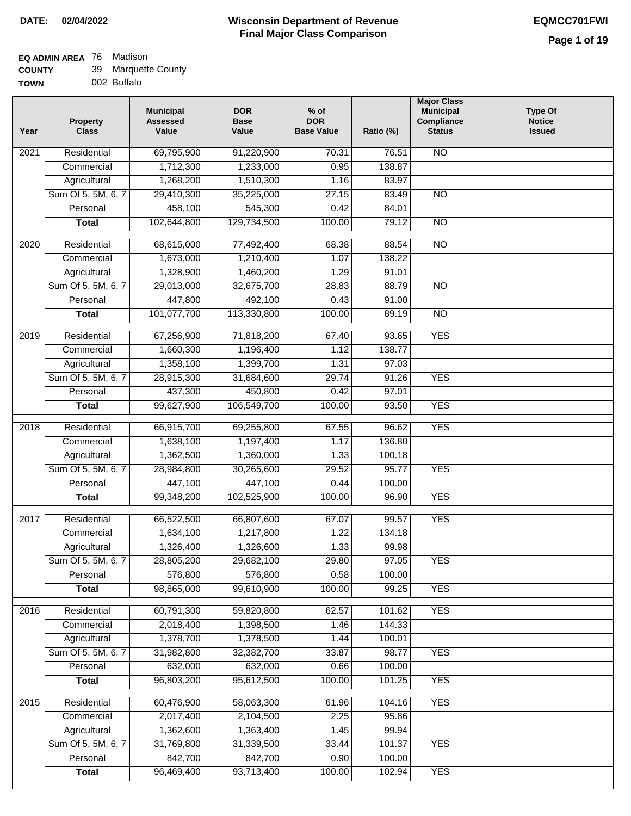# **EQ ADMIN AREA** 76 Madison

| <b>COUNTY</b> | 39 Marquette County |
|---------------|---------------------|
| <b>TOWN</b>   | 002 Buffalo         |

| Residential<br>N <sub>O</sub><br>$\overline{202}1$<br>69,795,900<br>91,220,900<br>70.31<br>76.51<br>1,712,300<br>1,233,000<br>0.95<br>138.87<br>Commercial<br>Agricultural<br>1,268,200<br>1,510,300<br>83.97<br>1.16<br>Sum Of 5, 5M, 6, 7<br>29,410,300<br>35,225,000<br>27.15<br>83.49<br>$\overline{NO}$<br>458,100<br>545,300<br>Personal<br>0.42<br>84.01<br>102,644,800<br>129,734,500<br>100.00<br>79.12<br>$\overline{NO}$<br><b>Total</b><br>$\overline{2020}$<br>Residential<br>68,615,000<br>77,492,400<br>68.38<br>88.54<br>$\overline{10}$<br>1,673,000<br>1,210,400<br>1.07<br>138.22<br>Commercial<br>1,328,900<br>1,460,200<br>1.29<br>91.01<br>Agricultural<br>Sum Of 5, 5M, 6, 7<br>32,675,700<br>29,013,000<br>28.83<br>88.79<br>$\overline{NO}$<br>447,800<br>492,100<br>91.00<br>Personal<br>0.43<br>101,077,700<br>113,330,800<br>100.00<br>$\overline{NO}$<br><b>Total</b><br>89.19<br><b>YES</b><br>2019<br>Residential<br>67,256,900<br>71,818,200<br>67.40<br>93.65<br>1,660,300<br>1,196,400<br>138.77<br>Commercial<br>1.12<br>1,358,100<br>1,399,700<br>1.31<br>97.03<br>Agricultural<br><b>YES</b><br>Sum Of 5, 5M, 6, 7<br>28,915,300<br>31,684,600<br>29.74<br>91.26<br>Personal<br>437,300<br>450,800<br>0.42<br>97.01<br>106,549,700<br>100.00<br><b>YES</b><br><b>Total</b><br>99,627,900<br>93.50<br>Residential<br>66,915,700<br>69,255,800<br>67.55<br>96.62<br><b>YES</b><br>2018<br>136.80<br>Commercial<br>1,638,100<br>1,197,400<br>1.17<br>1,362,500<br>1,360,000<br>Agricultural<br>1.33<br>100.18<br>Sum Of 5, 5M, 6, 7<br>28,984,800<br>30,265,600<br>95.77<br><b>YES</b><br>29.52<br>Personal<br>447,100<br>447,100<br>0.44<br>100.00<br>99,348,200<br>102,525,900<br>100.00<br><b>YES</b><br><b>Total</b><br>96.90<br>$\overline{2017}$<br>Residential<br>66,807,600<br><b>YES</b><br>66,522,500<br>67.07<br>99.57<br>Commercial<br>1,634,100<br>1,217,800<br>1.22<br>134.18<br>1,326,400<br>1,326,600<br>1.33<br>99.98<br>Agricultural<br>29.80<br>Sum Of 5, 5M, 6, 7<br>28,805,200<br>29,682,100<br>97.05<br><b>YES</b><br>Personal<br>576,800<br>576,800<br>0.58<br>100.00<br>98,865,000<br>99,610,900<br>100.00<br>99.25<br><b>YES</b><br><b>Total</b><br>Residential<br>60,791,300<br>59,820,800<br><b>YES</b><br>2016<br>62.57<br>101.62<br>2,018,400<br>144.33<br>Commercial<br>1,398,500<br>1.46<br>1,378,700<br>1,378,500<br>Agricultural<br>1.44<br>100.01<br>Sum Of 5, 5M, 6, 7<br><b>YES</b><br>31,982,800<br>32,382,700<br>33.87<br>98.77<br>632,000<br>632,000<br>100.00<br>Personal<br>0.66<br>96,803,200<br>95,612,500<br>100.00<br>101.25<br><b>YES</b><br><b>Total</b><br><b>YES</b><br>Residential<br>60,476,900<br>58,063,300<br>61.96<br>104.16<br>2015<br>2,017,400<br>2,104,500<br>2.25<br>95.86<br>Commercial<br>1,362,600<br>1,363,400<br>99.94<br>Agricultural<br>1.45<br>Sum Of 5, 5M, 6, 7<br>31,769,800<br>31,339,500<br>101.37<br><b>YES</b><br>33.44<br>842,700<br>842,700<br>Personal<br>0.90<br>100.00<br>93,713,400<br>96,469,400<br>100.00<br>102.94<br><b>YES</b><br><b>Total</b> | Year | <b>Property</b><br><b>Class</b> | <b>Municipal</b><br><b>Assessed</b><br>Value | <b>DOR</b><br><b>Base</b><br>Value | $%$ of<br><b>DOR</b><br><b>Base Value</b> | Ratio (%) | <b>Major Class</b><br><b>Municipal</b><br>Compliance<br><b>Status</b> | <b>Type Of</b><br><b>Notice</b><br><b>Issued</b> |
|------------------------------------------------------------------------------------------------------------------------------------------------------------------------------------------------------------------------------------------------------------------------------------------------------------------------------------------------------------------------------------------------------------------------------------------------------------------------------------------------------------------------------------------------------------------------------------------------------------------------------------------------------------------------------------------------------------------------------------------------------------------------------------------------------------------------------------------------------------------------------------------------------------------------------------------------------------------------------------------------------------------------------------------------------------------------------------------------------------------------------------------------------------------------------------------------------------------------------------------------------------------------------------------------------------------------------------------------------------------------------------------------------------------------------------------------------------------------------------------------------------------------------------------------------------------------------------------------------------------------------------------------------------------------------------------------------------------------------------------------------------------------------------------------------------------------------------------------------------------------------------------------------------------------------------------------------------------------------------------------------------------------------------------------------------------------------------------------------------------------------------------------------------------------------------------------------------------------------------------------------------------------------------------------------------------------------------------------------------------------------------------------------------------------------------------------------------------------------------------------------------------------------------------------------------------------------------------------------------------------------------------------------------------------------------------------------------------------------------------------------------------------------------------------------------------------------------------------------------------------------------------------------------------------------------------------------------------------------------------------------------------------------------------------------------------------|------|---------------------------------|----------------------------------------------|------------------------------------|-------------------------------------------|-----------|-----------------------------------------------------------------------|--------------------------------------------------|
|                                                                                                                                                                                                                                                                                                                                                                                                                                                                                                                                                                                                                                                                                                                                                                                                                                                                                                                                                                                                                                                                                                                                                                                                                                                                                                                                                                                                                                                                                                                                                                                                                                                                                                                                                                                                                                                                                                                                                                                                                                                                                                                                                                                                                                                                                                                                                                                                                                                                                                                                                                                                                                                                                                                                                                                                                                                                                                                                                                                                                                                                        |      |                                 |                                              |                                    |                                           |           |                                                                       |                                                  |
|                                                                                                                                                                                                                                                                                                                                                                                                                                                                                                                                                                                                                                                                                                                                                                                                                                                                                                                                                                                                                                                                                                                                                                                                                                                                                                                                                                                                                                                                                                                                                                                                                                                                                                                                                                                                                                                                                                                                                                                                                                                                                                                                                                                                                                                                                                                                                                                                                                                                                                                                                                                                                                                                                                                                                                                                                                                                                                                                                                                                                                                                        |      |                                 |                                              |                                    |                                           |           |                                                                       |                                                  |
|                                                                                                                                                                                                                                                                                                                                                                                                                                                                                                                                                                                                                                                                                                                                                                                                                                                                                                                                                                                                                                                                                                                                                                                                                                                                                                                                                                                                                                                                                                                                                                                                                                                                                                                                                                                                                                                                                                                                                                                                                                                                                                                                                                                                                                                                                                                                                                                                                                                                                                                                                                                                                                                                                                                                                                                                                                                                                                                                                                                                                                                                        |      |                                 |                                              |                                    |                                           |           |                                                                       |                                                  |
|                                                                                                                                                                                                                                                                                                                                                                                                                                                                                                                                                                                                                                                                                                                                                                                                                                                                                                                                                                                                                                                                                                                                                                                                                                                                                                                                                                                                                                                                                                                                                                                                                                                                                                                                                                                                                                                                                                                                                                                                                                                                                                                                                                                                                                                                                                                                                                                                                                                                                                                                                                                                                                                                                                                                                                                                                                                                                                                                                                                                                                                                        |      |                                 |                                              |                                    |                                           |           |                                                                       |                                                  |
|                                                                                                                                                                                                                                                                                                                                                                                                                                                                                                                                                                                                                                                                                                                                                                                                                                                                                                                                                                                                                                                                                                                                                                                                                                                                                                                                                                                                                                                                                                                                                                                                                                                                                                                                                                                                                                                                                                                                                                                                                                                                                                                                                                                                                                                                                                                                                                                                                                                                                                                                                                                                                                                                                                                                                                                                                                                                                                                                                                                                                                                                        |      |                                 |                                              |                                    |                                           |           |                                                                       |                                                  |
|                                                                                                                                                                                                                                                                                                                                                                                                                                                                                                                                                                                                                                                                                                                                                                                                                                                                                                                                                                                                                                                                                                                                                                                                                                                                                                                                                                                                                                                                                                                                                                                                                                                                                                                                                                                                                                                                                                                                                                                                                                                                                                                                                                                                                                                                                                                                                                                                                                                                                                                                                                                                                                                                                                                                                                                                                                                                                                                                                                                                                                                                        |      |                                 |                                              |                                    |                                           |           |                                                                       |                                                  |
|                                                                                                                                                                                                                                                                                                                                                                                                                                                                                                                                                                                                                                                                                                                                                                                                                                                                                                                                                                                                                                                                                                                                                                                                                                                                                                                                                                                                                                                                                                                                                                                                                                                                                                                                                                                                                                                                                                                                                                                                                                                                                                                                                                                                                                                                                                                                                                                                                                                                                                                                                                                                                                                                                                                                                                                                                                                                                                                                                                                                                                                                        |      |                                 |                                              |                                    |                                           |           |                                                                       |                                                  |
|                                                                                                                                                                                                                                                                                                                                                                                                                                                                                                                                                                                                                                                                                                                                                                                                                                                                                                                                                                                                                                                                                                                                                                                                                                                                                                                                                                                                                                                                                                                                                                                                                                                                                                                                                                                                                                                                                                                                                                                                                                                                                                                                                                                                                                                                                                                                                                                                                                                                                                                                                                                                                                                                                                                                                                                                                                                                                                                                                                                                                                                                        |      |                                 |                                              |                                    |                                           |           |                                                                       |                                                  |
|                                                                                                                                                                                                                                                                                                                                                                                                                                                                                                                                                                                                                                                                                                                                                                                                                                                                                                                                                                                                                                                                                                                                                                                                                                                                                                                                                                                                                                                                                                                                                                                                                                                                                                                                                                                                                                                                                                                                                                                                                                                                                                                                                                                                                                                                                                                                                                                                                                                                                                                                                                                                                                                                                                                                                                                                                                                                                                                                                                                                                                                                        |      |                                 |                                              |                                    |                                           |           |                                                                       |                                                  |
|                                                                                                                                                                                                                                                                                                                                                                                                                                                                                                                                                                                                                                                                                                                                                                                                                                                                                                                                                                                                                                                                                                                                                                                                                                                                                                                                                                                                                                                                                                                                                                                                                                                                                                                                                                                                                                                                                                                                                                                                                                                                                                                                                                                                                                                                                                                                                                                                                                                                                                                                                                                                                                                                                                                                                                                                                                                                                                                                                                                                                                                                        |      |                                 |                                              |                                    |                                           |           |                                                                       |                                                  |
|                                                                                                                                                                                                                                                                                                                                                                                                                                                                                                                                                                                                                                                                                                                                                                                                                                                                                                                                                                                                                                                                                                                                                                                                                                                                                                                                                                                                                                                                                                                                                                                                                                                                                                                                                                                                                                                                                                                                                                                                                                                                                                                                                                                                                                                                                                                                                                                                                                                                                                                                                                                                                                                                                                                                                                                                                                                                                                                                                                                                                                                                        |      |                                 |                                              |                                    |                                           |           |                                                                       |                                                  |
|                                                                                                                                                                                                                                                                                                                                                                                                                                                                                                                                                                                                                                                                                                                                                                                                                                                                                                                                                                                                                                                                                                                                                                                                                                                                                                                                                                                                                                                                                                                                                                                                                                                                                                                                                                                                                                                                                                                                                                                                                                                                                                                                                                                                                                                                                                                                                                                                                                                                                                                                                                                                                                                                                                                                                                                                                                                                                                                                                                                                                                                                        |      |                                 |                                              |                                    |                                           |           |                                                                       |                                                  |
|                                                                                                                                                                                                                                                                                                                                                                                                                                                                                                                                                                                                                                                                                                                                                                                                                                                                                                                                                                                                                                                                                                                                                                                                                                                                                                                                                                                                                                                                                                                                                                                                                                                                                                                                                                                                                                                                                                                                                                                                                                                                                                                                                                                                                                                                                                                                                                                                                                                                                                                                                                                                                                                                                                                                                                                                                                                                                                                                                                                                                                                                        |      |                                 |                                              |                                    |                                           |           |                                                                       |                                                  |
|                                                                                                                                                                                                                                                                                                                                                                                                                                                                                                                                                                                                                                                                                                                                                                                                                                                                                                                                                                                                                                                                                                                                                                                                                                                                                                                                                                                                                                                                                                                                                                                                                                                                                                                                                                                                                                                                                                                                                                                                                                                                                                                                                                                                                                                                                                                                                                                                                                                                                                                                                                                                                                                                                                                                                                                                                                                                                                                                                                                                                                                                        |      |                                 |                                              |                                    |                                           |           |                                                                       |                                                  |
|                                                                                                                                                                                                                                                                                                                                                                                                                                                                                                                                                                                                                                                                                                                                                                                                                                                                                                                                                                                                                                                                                                                                                                                                                                                                                                                                                                                                                                                                                                                                                                                                                                                                                                                                                                                                                                                                                                                                                                                                                                                                                                                                                                                                                                                                                                                                                                                                                                                                                                                                                                                                                                                                                                                                                                                                                                                                                                                                                                                                                                                                        |      |                                 |                                              |                                    |                                           |           |                                                                       |                                                  |
|                                                                                                                                                                                                                                                                                                                                                                                                                                                                                                                                                                                                                                                                                                                                                                                                                                                                                                                                                                                                                                                                                                                                                                                                                                                                                                                                                                                                                                                                                                                                                                                                                                                                                                                                                                                                                                                                                                                                                                                                                                                                                                                                                                                                                                                                                                                                                                                                                                                                                                                                                                                                                                                                                                                                                                                                                                                                                                                                                                                                                                                                        |      |                                 |                                              |                                    |                                           |           |                                                                       |                                                  |
|                                                                                                                                                                                                                                                                                                                                                                                                                                                                                                                                                                                                                                                                                                                                                                                                                                                                                                                                                                                                                                                                                                                                                                                                                                                                                                                                                                                                                                                                                                                                                                                                                                                                                                                                                                                                                                                                                                                                                                                                                                                                                                                                                                                                                                                                                                                                                                                                                                                                                                                                                                                                                                                                                                                                                                                                                                                                                                                                                                                                                                                                        |      |                                 |                                              |                                    |                                           |           |                                                                       |                                                  |
|                                                                                                                                                                                                                                                                                                                                                                                                                                                                                                                                                                                                                                                                                                                                                                                                                                                                                                                                                                                                                                                                                                                                                                                                                                                                                                                                                                                                                                                                                                                                                                                                                                                                                                                                                                                                                                                                                                                                                                                                                                                                                                                                                                                                                                                                                                                                                                                                                                                                                                                                                                                                                                                                                                                                                                                                                                                                                                                                                                                                                                                                        |      |                                 |                                              |                                    |                                           |           |                                                                       |                                                  |
|                                                                                                                                                                                                                                                                                                                                                                                                                                                                                                                                                                                                                                                                                                                                                                                                                                                                                                                                                                                                                                                                                                                                                                                                                                                                                                                                                                                                                                                                                                                                                                                                                                                                                                                                                                                                                                                                                                                                                                                                                                                                                                                                                                                                                                                                                                                                                                                                                                                                                                                                                                                                                                                                                                                                                                                                                                                                                                                                                                                                                                                                        |      |                                 |                                              |                                    |                                           |           |                                                                       |                                                  |
|                                                                                                                                                                                                                                                                                                                                                                                                                                                                                                                                                                                                                                                                                                                                                                                                                                                                                                                                                                                                                                                                                                                                                                                                                                                                                                                                                                                                                                                                                                                                                                                                                                                                                                                                                                                                                                                                                                                                                                                                                                                                                                                                                                                                                                                                                                                                                                                                                                                                                                                                                                                                                                                                                                                                                                                                                                                                                                                                                                                                                                                                        |      |                                 |                                              |                                    |                                           |           |                                                                       |                                                  |
|                                                                                                                                                                                                                                                                                                                                                                                                                                                                                                                                                                                                                                                                                                                                                                                                                                                                                                                                                                                                                                                                                                                                                                                                                                                                                                                                                                                                                                                                                                                                                                                                                                                                                                                                                                                                                                                                                                                                                                                                                                                                                                                                                                                                                                                                                                                                                                                                                                                                                                                                                                                                                                                                                                                                                                                                                                                                                                                                                                                                                                                                        |      |                                 |                                              |                                    |                                           |           |                                                                       |                                                  |
|                                                                                                                                                                                                                                                                                                                                                                                                                                                                                                                                                                                                                                                                                                                                                                                                                                                                                                                                                                                                                                                                                                                                                                                                                                                                                                                                                                                                                                                                                                                                                                                                                                                                                                                                                                                                                                                                                                                                                                                                                                                                                                                                                                                                                                                                                                                                                                                                                                                                                                                                                                                                                                                                                                                                                                                                                                                                                                                                                                                                                                                                        |      |                                 |                                              |                                    |                                           |           |                                                                       |                                                  |
|                                                                                                                                                                                                                                                                                                                                                                                                                                                                                                                                                                                                                                                                                                                                                                                                                                                                                                                                                                                                                                                                                                                                                                                                                                                                                                                                                                                                                                                                                                                                                                                                                                                                                                                                                                                                                                                                                                                                                                                                                                                                                                                                                                                                                                                                                                                                                                                                                                                                                                                                                                                                                                                                                                                                                                                                                                                                                                                                                                                                                                                                        |      |                                 |                                              |                                    |                                           |           |                                                                       |                                                  |
|                                                                                                                                                                                                                                                                                                                                                                                                                                                                                                                                                                                                                                                                                                                                                                                                                                                                                                                                                                                                                                                                                                                                                                                                                                                                                                                                                                                                                                                                                                                                                                                                                                                                                                                                                                                                                                                                                                                                                                                                                                                                                                                                                                                                                                                                                                                                                                                                                                                                                                                                                                                                                                                                                                                                                                                                                                                                                                                                                                                                                                                                        |      |                                 |                                              |                                    |                                           |           |                                                                       |                                                  |
|                                                                                                                                                                                                                                                                                                                                                                                                                                                                                                                                                                                                                                                                                                                                                                                                                                                                                                                                                                                                                                                                                                                                                                                                                                                                                                                                                                                                                                                                                                                                                                                                                                                                                                                                                                                                                                                                                                                                                                                                                                                                                                                                                                                                                                                                                                                                                                                                                                                                                                                                                                                                                                                                                                                                                                                                                                                                                                                                                                                                                                                                        |      |                                 |                                              |                                    |                                           |           |                                                                       |                                                  |
|                                                                                                                                                                                                                                                                                                                                                                                                                                                                                                                                                                                                                                                                                                                                                                                                                                                                                                                                                                                                                                                                                                                                                                                                                                                                                                                                                                                                                                                                                                                                                                                                                                                                                                                                                                                                                                                                                                                                                                                                                                                                                                                                                                                                                                                                                                                                                                                                                                                                                                                                                                                                                                                                                                                                                                                                                                                                                                                                                                                                                                                                        |      |                                 |                                              |                                    |                                           |           |                                                                       |                                                  |
|                                                                                                                                                                                                                                                                                                                                                                                                                                                                                                                                                                                                                                                                                                                                                                                                                                                                                                                                                                                                                                                                                                                                                                                                                                                                                                                                                                                                                                                                                                                                                                                                                                                                                                                                                                                                                                                                                                                                                                                                                                                                                                                                                                                                                                                                                                                                                                                                                                                                                                                                                                                                                                                                                                                                                                                                                                                                                                                                                                                                                                                                        |      |                                 |                                              |                                    |                                           |           |                                                                       |                                                  |
|                                                                                                                                                                                                                                                                                                                                                                                                                                                                                                                                                                                                                                                                                                                                                                                                                                                                                                                                                                                                                                                                                                                                                                                                                                                                                                                                                                                                                                                                                                                                                                                                                                                                                                                                                                                                                                                                                                                                                                                                                                                                                                                                                                                                                                                                                                                                                                                                                                                                                                                                                                                                                                                                                                                                                                                                                                                                                                                                                                                                                                                                        |      |                                 |                                              |                                    |                                           |           |                                                                       |                                                  |
|                                                                                                                                                                                                                                                                                                                                                                                                                                                                                                                                                                                                                                                                                                                                                                                                                                                                                                                                                                                                                                                                                                                                                                                                                                                                                                                                                                                                                                                                                                                                                                                                                                                                                                                                                                                                                                                                                                                                                                                                                                                                                                                                                                                                                                                                                                                                                                                                                                                                                                                                                                                                                                                                                                                                                                                                                                                                                                                                                                                                                                                                        |      |                                 |                                              |                                    |                                           |           |                                                                       |                                                  |
|                                                                                                                                                                                                                                                                                                                                                                                                                                                                                                                                                                                                                                                                                                                                                                                                                                                                                                                                                                                                                                                                                                                                                                                                                                                                                                                                                                                                                                                                                                                                                                                                                                                                                                                                                                                                                                                                                                                                                                                                                                                                                                                                                                                                                                                                                                                                                                                                                                                                                                                                                                                                                                                                                                                                                                                                                                                                                                                                                                                                                                                                        |      |                                 |                                              |                                    |                                           |           |                                                                       |                                                  |
|                                                                                                                                                                                                                                                                                                                                                                                                                                                                                                                                                                                                                                                                                                                                                                                                                                                                                                                                                                                                                                                                                                                                                                                                                                                                                                                                                                                                                                                                                                                                                                                                                                                                                                                                                                                                                                                                                                                                                                                                                                                                                                                                                                                                                                                                                                                                                                                                                                                                                                                                                                                                                                                                                                                                                                                                                                                                                                                                                                                                                                                                        |      |                                 |                                              |                                    |                                           |           |                                                                       |                                                  |
|                                                                                                                                                                                                                                                                                                                                                                                                                                                                                                                                                                                                                                                                                                                                                                                                                                                                                                                                                                                                                                                                                                                                                                                                                                                                                                                                                                                                                                                                                                                                                                                                                                                                                                                                                                                                                                                                                                                                                                                                                                                                                                                                                                                                                                                                                                                                                                                                                                                                                                                                                                                                                                                                                                                                                                                                                                                                                                                                                                                                                                                                        |      |                                 |                                              |                                    |                                           |           |                                                                       |                                                  |
|                                                                                                                                                                                                                                                                                                                                                                                                                                                                                                                                                                                                                                                                                                                                                                                                                                                                                                                                                                                                                                                                                                                                                                                                                                                                                                                                                                                                                                                                                                                                                                                                                                                                                                                                                                                                                                                                                                                                                                                                                                                                                                                                                                                                                                                                                                                                                                                                                                                                                                                                                                                                                                                                                                                                                                                                                                                                                                                                                                                                                                                                        |      |                                 |                                              |                                    |                                           |           |                                                                       |                                                  |
|                                                                                                                                                                                                                                                                                                                                                                                                                                                                                                                                                                                                                                                                                                                                                                                                                                                                                                                                                                                                                                                                                                                                                                                                                                                                                                                                                                                                                                                                                                                                                                                                                                                                                                                                                                                                                                                                                                                                                                                                                                                                                                                                                                                                                                                                                                                                                                                                                                                                                                                                                                                                                                                                                                                                                                                                                                                                                                                                                                                                                                                                        |      |                                 |                                              |                                    |                                           |           |                                                                       |                                                  |
|                                                                                                                                                                                                                                                                                                                                                                                                                                                                                                                                                                                                                                                                                                                                                                                                                                                                                                                                                                                                                                                                                                                                                                                                                                                                                                                                                                                                                                                                                                                                                                                                                                                                                                                                                                                                                                                                                                                                                                                                                                                                                                                                                                                                                                                                                                                                                                                                                                                                                                                                                                                                                                                                                                                                                                                                                                                                                                                                                                                                                                                                        |      |                                 |                                              |                                    |                                           |           |                                                                       |                                                  |
|                                                                                                                                                                                                                                                                                                                                                                                                                                                                                                                                                                                                                                                                                                                                                                                                                                                                                                                                                                                                                                                                                                                                                                                                                                                                                                                                                                                                                                                                                                                                                                                                                                                                                                                                                                                                                                                                                                                                                                                                                                                                                                                                                                                                                                                                                                                                                                                                                                                                                                                                                                                                                                                                                                                                                                                                                                                                                                                                                                                                                                                                        |      |                                 |                                              |                                    |                                           |           |                                                                       |                                                  |
|                                                                                                                                                                                                                                                                                                                                                                                                                                                                                                                                                                                                                                                                                                                                                                                                                                                                                                                                                                                                                                                                                                                                                                                                                                                                                                                                                                                                                                                                                                                                                                                                                                                                                                                                                                                                                                                                                                                                                                                                                                                                                                                                                                                                                                                                                                                                                                                                                                                                                                                                                                                                                                                                                                                                                                                                                                                                                                                                                                                                                                                                        |      |                                 |                                              |                                    |                                           |           |                                                                       |                                                  |
|                                                                                                                                                                                                                                                                                                                                                                                                                                                                                                                                                                                                                                                                                                                                                                                                                                                                                                                                                                                                                                                                                                                                                                                                                                                                                                                                                                                                                                                                                                                                                                                                                                                                                                                                                                                                                                                                                                                                                                                                                                                                                                                                                                                                                                                                                                                                                                                                                                                                                                                                                                                                                                                                                                                                                                                                                                                                                                                                                                                                                                                                        |      |                                 |                                              |                                    |                                           |           |                                                                       |                                                  |
|                                                                                                                                                                                                                                                                                                                                                                                                                                                                                                                                                                                                                                                                                                                                                                                                                                                                                                                                                                                                                                                                                                                                                                                                                                                                                                                                                                                                                                                                                                                                                                                                                                                                                                                                                                                                                                                                                                                                                                                                                                                                                                                                                                                                                                                                                                                                                                                                                                                                                                                                                                                                                                                                                                                                                                                                                                                                                                                                                                                                                                                                        |      |                                 |                                              |                                    |                                           |           |                                                                       |                                                  |
|                                                                                                                                                                                                                                                                                                                                                                                                                                                                                                                                                                                                                                                                                                                                                                                                                                                                                                                                                                                                                                                                                                                                                                                                                                                                                                                                                                                                                                                                                                                                                                                                                                                                                                                                                                                                                                                                                                                                                                                                                                                                                                                                                                                                                                                                                                                                                                                                                                                                                                                                                                                                                                                                                                                                                                                                                                                                                                                                                                                                                                                                        |      |                                 |                                              |                                    |                                           |           |                                                                       |                                                  |
|                                                                                                                                                                                                                                                                                                                                                                                                                                                                                                                                                                                                                                                                                                                                                                                                                                                                                                                                                                                                                                                                                                                                                                                                                                                                                                                                                                                                                                                                                                                                                                                                                                                                                                                                                                                                                                                                                                                                                                                                                                                                                                                                                                                                                                                                                                                                                                                                                                                                                                                                                                                                                                                                                                                                                                                                                                                                                                                                                                                                                                                                        |      |                                 |                                              |                                    |                                           |           |                                                                       |                                                  |
|                                                                                                                                                                                                                                                                                                                                                                                                                                                                                                                                                                                                                                                                                                                                                                                                                                                                                                                                                                                                                                                                                                                                                                                                                                                                                                                                                                                                                                                                                                                                                                                                                                                                                                                                                                                                                                                                                                                                                                                                                                                                                                                                                                                                                                                                                                                                                                                                                                                                                                                                                                                                                                                                                                                                                                                                                                                                                                                                                                                                                                                                        |      |                                 |                                              |                                    |                                           |           |                                                                       |                                                  |
|                                                                                                                                                                                                                                                                                                                                                                                                                                                                                                                                                                                                                                                                                                                                                                                                                                                                                                                                                                                                                                                                                                                                                                                                                                                                                                                                                                                                                                                                                                                                                                                                                                                                                                                                                                                                                                                                                                                                                                                                                                                                                                                                                                                                                                                                                                                                                                                                                                                                                                                                                                                                                                                                                                                                                                                                                                                                                                                                                                                                                                                                        |      |                                 |                                              |                                    |                                           |           |                                                                       |                                                  |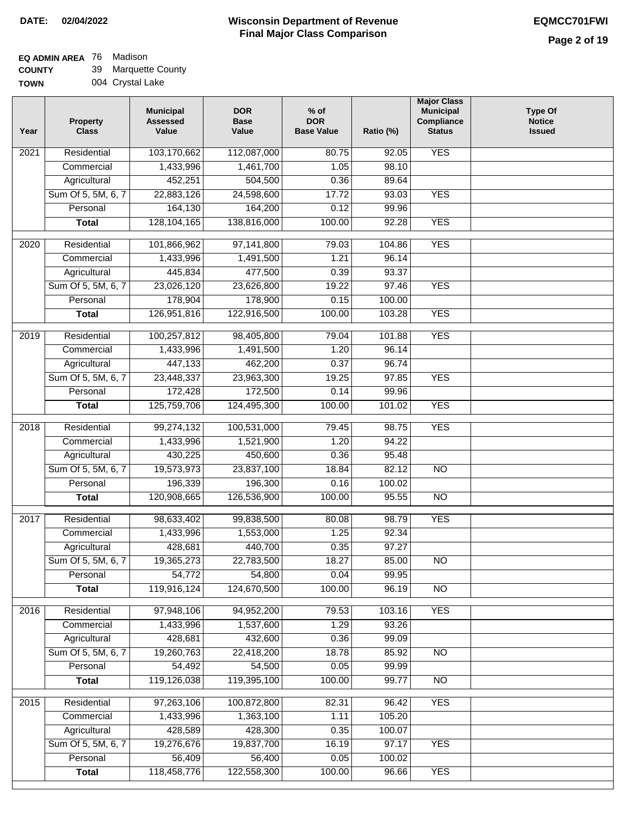### **EQ ADMIN AREA** 76 Madison

**COUNTY** 39 Marquette County

| <b>TOWN</b> | 004 Crystal Lake |
|-------------|------------------|
|             |                  |

| Year | <b>Property</b><br><b>Class</b> | <b>Municipal</b><br><b>Assessed</b><br>Value | <b>DOR</b><br><b>Base</b><br>Value | $%$ of<br><b>DOR</b><br><b>Base Value</b> | Ratio (%) | <b>Major Class</b><br><b>Municipal</b><br>Compliance<br><b>Status</b> | <b>Type Of</b><br><b>Notice</b><br><b>Issued</b> |
|------|---------------------------------|----------------------------------------------|------------------------------------|-------------------------------------------|-----------|-----------------------------------------------------------------------|--------------------------------------------------|
| 2021 | Residential                     | 103,170,662                                  | 112,087,000                        | 80.75                                     | 92.05     | <b>YES</b>                                                            |                                                  |
|      | Commercial                      | 1,433,996                                    | 1,461,700                          | 1.05                                      | 98.10     |                                                                       |                                                  |
|      | Agricultural                    | 452,251                                      | 504,500                            | 0.36                                      | 89.64     |                                                                       |                                                  |
|      | Sum Of 5, 5M, 6, 7              | 22,883,126                                   | 24,598,600                         | 17.72                                     | 93.03     | <b>YES</b>                                                            |                                                  |
|      | Personal                        | 164,130                                      | 164,200                            | 0.12                                      | 99.96     |                                                                       |                                                  |
|      | <b>Total</b>                    | 128, 104, 165                                | 138,816,000                        | 100.00                                    | 92.28     | <b>YES</b>                                                            |                                                  |
| 2020 | Residential                     | 101,866,962                                  | 97,141,800                         | 79.03                                     | 104.86    | <b>YES</b>                                                            |                                                  |
|      | Commercial                      | 1,433,996                                    | 1,491,500                          | 1.21                                      | 96.14     |                                                                       |                                                  |
|      | Agricultural                    | 445,834                                      | 477,500                            | 0.39                                      | 93.37     |                                                                       |                                                  |
|      | Sum Of 5, 5M, 6, 7              | 23,026,120                                   | 23,626,800                         | 19.22                                     | 97.46     | <b>YES</b>                                                            |                                                  |
|      | Personal                        | 178,904                                      | 178,900                            | 0.15                                      | 100.00    |                                                                       |                                                  |
|      | <b>Total</b>                    | 126,951,816                                  | 122,916,500                        | 100.00                                    | 103.28    | <b>YES</b>                                                            |                                                  |
|      |                                 |                                              |                                    |                                           |           |                                                                       |                                                  |
| 2019 | Residential                     | 100,257,812                                  | 98,405,800                         | 79.04                                     | 101.88    | <b>YES</b>                                                            |                                                  |
|      | Commercial                      | 1,433,996                                    | 1,491,500                          | 1.20                                      | 96.14     |                                                                       |                                                  |
|      | Agricultural                    | 447,133                                      | 462,200                            | 0.37                                      | 96.74     |                                                                       |                                                  |
|      | Sum Of 5, 5M, 6, 7              | 23,448,337                                   | 23,963,300                         | 19.25                                     | 97.85     | <b>YES</b>                                                            |                                                  |
|      | Personal                        | 172,428                                      | 172,500                            | 0.14                                      | 99.96     |                                                                       |                                                  |
|      | <b>Total</b>                    | 125,759,706                                  | 124,495,300                        | 100.00                                    | 101.02    | <b>YES</b>                                                            |                                                  |
| 2018 | Residential                     | 99,274,132                                   | 100,531,000                        | 79.45                                     | 98.75     | <b>YES</b>                                                            |                                                  |
|      | Commercial                      | 1,433,996                                    | 1,521,900                          | 1.20                                      | 94.22     |                                                                       |                                                  |
|      | Agricultural                    | 430,225                                      | 450,600                            | 0.36                                      | 95.48     |                                                                       |                                                  |
|      | Sum Of 5, 5M, 6, 7              | 19,573,973                                   | 23,837,100                         | 18.84                                     | 82.12     | <b>NO</b>                                                             |                                                  |
|      | Personal                        | 196,339                                      | 196,300                            | 0.16                                      | 100.02    |                                                                       |                                                  |
|      | <b>Total</b>                    | 120,908,665                                  | 126,536,900                        | 100.00                                    | 95.55     | $\overline{NO}$                                                       |                                                  |
| 2017 | Residential                     | 98,633,402                                   | 99,838,500                         | 80.08                                     | 98.79     | <b>YES</b>                                                            |                                                  |
|      | Commercial                      | 1,433,996                                    | 1,553,000                          | 1.25                                      | 92.34     |                                                                       |                                                  |
|      | Agricultural                    | 428,681                                      | 440,700                            | 0.35                                      | 97.27     |                                                                       |                                                  |
|      | Sum Of 5, 5M, 6, 7              | 19,365,273                                   | 22,783,500                         | 18.27                                     | 85.00     | <b>NO</b>                                                             |                                                  |
|      | Personal                        | 54,772                                       | 54,800                             | 0.04                                      | 99.95     |                                                                       |                                                  |
|      | <b>Total</b>                    | 119,916,124                                  | 124,670,500                        | 100.00                                    | 96.19     | <b>NO</b>                                                             |                                                  |
| 2016 | Residential                     | 97,948,106                                   | 94,952,200                         | 79.53                                     | 103.16    | <b>YES</b>                                                            |                                                  |
|      | Commercial                      | 1,433,996                                    | 1,537,600                          | 1.29                                      | 93.26     |                                                                       |                                                  |
|      | Agricultural                    | 428,681                                      | 432,600                            | 0.36                                      | 99.09     |                                                                       |                                                  |
|      | Sum Of 5, 5M, 6, 7              | 19,260,763                                   | 22,418,200                         | 18.78                                     | 85.92     | N <sub>O</sub>                                                        |                                                  |
|      | Personal                        | 54,492                                       | 54,500                             | 0.05                                      | 99.99     |                                                                       |                                                  |
|      |                                 | 119,126,038                                  | 119,395,100                        | 100.00                                    | 99.77     | N <sub>O</sub>                                                        |                                                  |
|      | <b>Total</b>                    |                                              |                                    |                                           |           |                                                                       |                                                  |
| 2015 | Residential                     | 97,263,106                                   | 100,872,800                        | 82.31                                     | 96.42     | <b>YES</b>                                                            |                                                  |
|      | Commercial                      | 1,433,996                                    | 1,363,100                          | 1.11                                      | 105.20    |                                                                       |                                                  |
|      | Agricultural                    | 428,589                                      | 428,300                            | 0.35                                      | 100.07    |                                                                       |                                                  |
|      | Sum Of 5, 5M, 6, 7              | 19,276,676                                   | 19,837,700                         | 16.19                                     | 97.17     | <b>YES</b>                                                            |                                                  |
|      | Personal                        | 56,409                                       | 56,400                             | 0.05                                      | 100.02    |                                                                       |                                                  |
|      | <b>Total</b>                    | 118,458,776                                  | 122,558,300                        | 100.00                                    | 96.66     | <b>YES</b>                                                            |                                                  |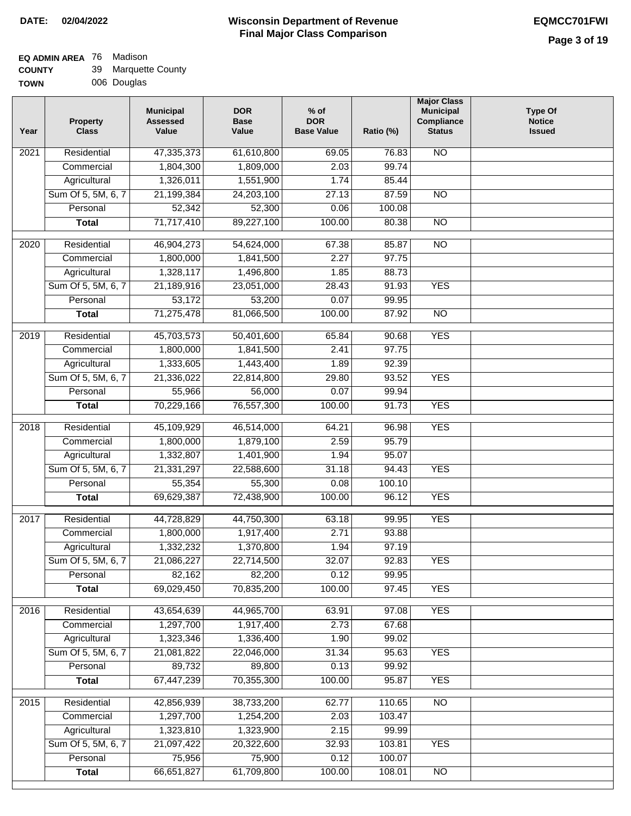#### **Wisconsin Department of Revenue Final Major Class Comparison DATE: 02/04/2022 EQMCC701FWI**

#### **EQ ADMIN AREA** 76 Madison  $\sim$

| <b>COUNTY</b> | 39 Marquette County |
|---------------|---------------------|
| <b>TOWN</b>   | 006 Douglas         |

| Year | Property<br><b>Class</b> | <b>Municipal</b><br><b>Assessed</b><br>Value | <b>DOR</b><br><b>Base</b><br>Value | $%$ of<br><b>DOR</b><br><b>Base Value</b> | Ratio (%) | <b>Major Class</b><br><b>Municipal</b><br>Compliance<br><b>Status</b> | <b>Type Of</b><br><b>Notice</b><br><b>Issued</b> |
|------|--------------------------|----------------------------------------------|------------------------------------|-------------------------------------------|-----------|-----------------------------------------------------------------------|--------------------------------------------------|
| 2021 | Residential              | 47,335,373                                   | 61,610,800                         | 69.05                                     | 76.83     | $\overline{NO}$                                                       |                                                  |
|      | Commercial               | 1,804,300                                    | 1,809,000                          | 2.03                                      | 99.74     |                                                                       |                                                  |
|      | Agricultural             | 1,326,011                                    | 1,551,900                          | 1.74                                      | 85.44     |                                                                       |                                                  |
|      | Sum Of 5, 5M, 6, 7       | 21,199,384                                   | 24,203,100                         | 27.13                                     | 87.59     | $\overline{NO}$                                                       |                                                  |
|      | Personal                 | 52,342                                       | 52,300                             | 0.06                                      | 100.08    |                                                                       |                                                  |
|      | <b>Total</b>             | 71,717,410                                   | 89,227,100                         | 100.00                                    | 80.38     | $\overline{NO}$                                                       |                                                  |
| 2020 | Residential              | 46,904,273                                   | 54,624,000                         | 67.38                                     | 85.87     | $\overline{10}$                                                       |                                                  |
|      | Commercial               | 1,800,000                                    | 1,841,500                          | 2.27                                      | 97.75     |                                                                       |                                                  |
|      | Agricultural             | 1,328,117                                    | 1,496,800                          | 1.85                                      | 88.73     |                                                                       |                                                  |
|      | Sum Of 5, 5M, 6, 7       | 21,189,916                                   | 23,051,000                         | 28.43                                     | 91.93     | <b>YES</b>                                                            |                                                  |
|      | Personal                 | 53,172                                       | 53,200                             | 0.07                                      | 99.95     |                                                                       |                                                  |
|      | <b>Total</b>             | 71,275,478                                   | 81,066,500                         | 100.00                                    | 87.92     | $\overline{NO}$                                                       |                                                  |
| 2019 | Residential              | 45,703,573                                   | 50,401,600                         | 65.84                                     | 90.68     | <b>YES</b>                                                            |                                                  |
|      | Commercial               | 1,800,000                                    | 1,841,500                          | 2.41                                      | 97.75     |                                                                       |                                                  |
|      | Agricultural             | 1,333,605                                    | 1,443,400                          | 1.89                                      | 92.39     |                                                                       |                                                  |
|      | Sum Of 5, 5M, 6, 7       | 21,336,022                                   | 22,814,800                         | 29.80                                     | 93.52     | <b>YES</b>                                                            |                                                  |
|      | Personal                 | 55,966                                       | 56,000                             | 0.07                                      | 99.94     |                                                                       |                                                  |
|      | <b>Total</b>             | 70,229,166                                   | 76,557,300                         | 100.00                                    | 91.73     | <b>YES</b>                                                            |                                                  |
| 2018 | Residential              | 45,109,929                                   | 46,514,000                         | 64.21                                     | 96.98     | <b>YES</b>                                                            |                                                  |
|      | Commercial               | 1,800,000                                    | 1,879,100                          | 2.59                                      | 95.79     |                                                                       |                                                  |
|      | Agricultural             | 1,332,807                                    | 1,401,900                          | 1.94                                      | 95.07     |                                                                       |                                                  |
|      | Sum Of 5, 5M, 6, 7       | 21,331,297                                   | 22,588,600                         | 31.18                                     | 94.43     | <b>YES</b>                                                            |                                                  |
|      | Personal                 | 55,354                                       | 55,300                             | 0.08                                      | 100.10    |                                                                       |                                                  |
|      | <b>Total</b>             | 69,629,387                                   | 72,438,900                         | 100.00                                    | 96.12     | <b>YES</b>                                                            |                                                  |
| 2017 | Residential              | 44,728,829                                   | 44,750,300                         | 63.18                                     | 99.95     | <b>YES</b>                                                            |                                                  |
|      | Commercial               | 1,800,000                                    | 1,917,400                          | 2.71                                      | 93.88     |                                                                       |                                                  |
|      | Agricultural             | 1,332,232                                    | 1,370,800                          | 1.94                                      | 97.19     |                                                                       |                                                  |
|      | Sum Of 5, 5M, 6, 7       | 21,086,227                                   | 22,714,500                         | 32.07                                     | 92.83     | <b>YES</b>                                                            |                                                  |
|      | Personal                 | 82,162                                       | 82,200                             | 0.12                                      | 99.95     |                                                                       |                                                  |
|      | <b>Total</b>             | 69,029,450                                   | 70,835,200                         | 100.00                                    | 97.45     | <b>YES</b>                                                            |                                                  |
| 2016 | Residential              | 43,654,639                                   | 44,965,700                         | 63.91                                     | 97.08     | <b>YES</b>                                                            |                                                  |
|      | Commercial               | 1,297,700                                    | 1,917,400                          | 2.73                                      | 67.68     |                                                                       |                                                  |
|      | Agricultural             | 1,323,346                                    | 1,336,400                          | 1.90                                      | 99.02     |                                                                       |                                                  |
|      | Sum Of 5, 5M, 6, 7       | 21,081,822                                   | 22,046,000                         | 31.34                                     | 95.63     | <b>YES</b>                                                            |                                                  |
|      | Personal                 | 89,732                                       | 89,800                             | 0.13                                      | 99.92     |                                                                       |                                                  |
|      | <b>Total</b>             | 67,447,239                                   | 70,355,300                         | 100.00                                    | 95.87     | <b>YES</b>                                                            |                                                  |
| 2015 | Residential              | 42,856,939                                   | 38,733,200                         | 62.77                                     | 110.65    | $\overline{NO}$                                                       |                                                  |
|      | Commercial               | 1,297,700                                    | 1,254,200                          | 2.03                                      | 103.47    |                                                                       |                                                  |
|      | Agricultural             | 1,323,810                                    | 1,323,900                          | 2.15                                      | 99.99     |                                                                       |                                                  |
|      | Sum Of 5, 5M, 6, 7       | 21,097,422                                   | 20,322,600                         | 32.93                                     | 103.81    | <b>YES</b>                                                            |                                                  |
|      | Personal                 | 75,956                                       | 75,900                             | 0.12                                      | 100.07    |                                                                       |                                                  |
|      | <b>Total</b>             | 66,651,827                                   | 61,709,800                         | 100.00                                    | 108.01    | $\overline{NO}$                                                       |                                                  |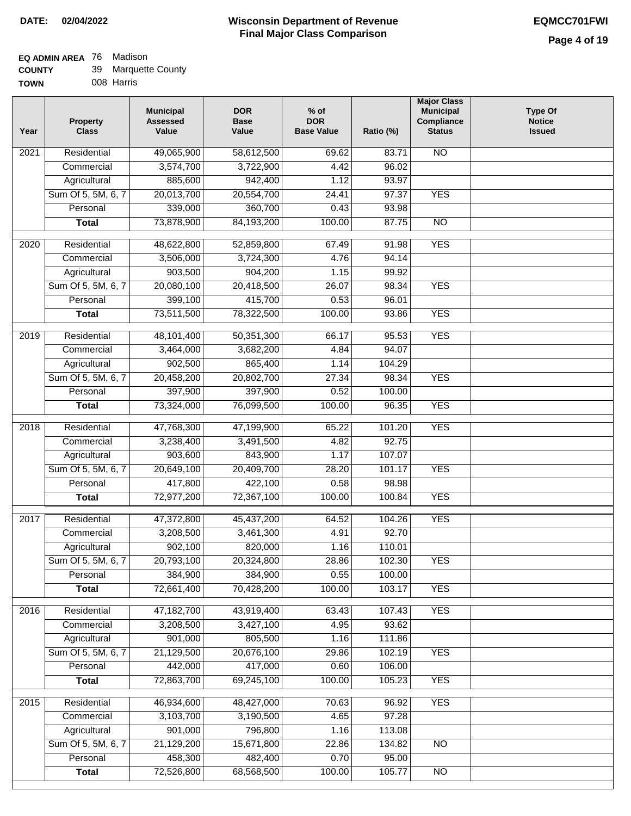#### **EQ ADMIN AREA** 76 Madison  $\sim$

| <b>COUNTY</b> | 39 Marquette County |
|---------------|---------------------|
| <b>TOWN</b>   | 008 Harris          |

| Year              | <b>Property</b><br><b>Class</b> | <b>Municipal</b><br><b>Assessed</b><br>Value | <b>DOR</b><br><b>Base</b><br>Value | $%$ of<br><b>DOR</b><br><b>Base Value</b> | Ratio (%)       | <b>Major Class</b><br><b>Municipal</b><br>Compliance<br><b>Status</b> | <b>Type Of</b><br><b>Notice</b><br><b>Issued</b> |
|-------------------|---------------------------------|----------------------------------------------|------------------------------------|-------------------------------------------|-----------------|-----------------------------------------------------------------------|--------------------------------------------------|
| $\overline{202}1$ | Residential                     | 49,065,900                                   | 58,612,500                         | 69.62                                     | 83.71           | <b>NO</b>                                                             |                                                  |
|                   | Commercial                      | 3,574,700                                    | 3,722,900                          | 4.42                                      | 96.02           |                                                                       |                                                  |
|                   | Agricultural                    | 885,600                                      | 942,400                            | 1.12                                      | 93.97           |                                                                       |                                                  |
|                   | Sum Of 5, 5M, 6, 7              | 20,013,700                                   | 20,554,700                         | 24.41                                     | 97.37           | <b>YES</b>                                                            |                                                  |
|                   | Personal                        | 339,000                                      | 360,700                            | 0.43                                      | 93.98           |                                                                       |                                                  |
|                   | <b>Total</b>                    | 73,878,900                                   | 84,193,200                         | 100.00                                    | 87.75           | $\overline{NO}$                                                       |                                                  |
| $\overline{2020}$ | Residential                     | 48,622,800                                   | 52,859,800                         | 67.49                                     | 91.98           | <b>YES</b>                                                            |                                                  |
|                   | Commercial                      | 3,506,000                                    | 3,724,300                          | 4.76                                      | 94.14           |                                                                       |                                                  |
|                   | Agricultural                    | 903,500                                      | 904,200                            | 1.15                                      | 99.92           |                                                                       |                                                  |
|                   | Sum Of 5, 5M, 6, 7              | 20,080,100                                   | 20,418,500                         | 26.07                                     | 98.34           | <b>YES</b>                                                            |                                                  |
|                   | Personal                        | 399,100                                      | 415,700                            | 0.53                                      | 96.01           |                                                                       |                                                  |
|                   | <b>Total</b>                    | 73,511,500                                   | 78,322,500                         | 100.00                                    | 93.86           | <b>YES</b>                                                            |                                                  |
|                   |                                 |                                              |                                    |                                           |                 |                                                                       |                                                  |
| 2019              | Residential                     | 48,101,400                                   | 50,351,300                         | 66.17                                     | 95.53           | <b>YES</b>                                                            |                                                  |
|                   | Commercial                      | 3,464,000                                    | 3,682,200                          | 4.84                                      | 94.07           |                                                                       |                                                  |
|                   | Agricultural                    | 902,500                                      | 865,400                            | 1.14                                      | 104.29          |                                                                       |                                                  |
|                   | Sum Of 5, 5M, 6, 7              | 20,458,200                                   | 20,802,700                         | 27.34                                     | 98.34           | <b>YES</b>                                                            |                                                  |
|                   | Personal<br><b>Total</b>        | 397,900<br>73,324,000                        | 397,900<br>76,099,500              | 0.52<br>100.00                            | 100.00<br>96.35 | <b>YES</b>                                                            |                                                  |
|                   |                                 |                                              |                                    |                                           |                 |                                                                       |                                                  |
| 2018              | Residential                     | 47,768,300                                   | 47,199,900                         | 65.22                                     | 101.20          | <b>YES</b>                                                            |                                                  |
|                   | Commercial                      | 3,238,400                                    | 3,491,500                          | 4.82                                      | 92.75           |                                                                       |                                                  |
|                   | Agricultural                    | 903,600                                      | 843,900                            | 1.17                                      | 107.07          |                                                                       |                                                  |
|                   | Sum Of 5, 5M, 6, 7              | 20,649,100                                   | 20,409,700                         | 28.20                                     | 101.17          | <b>YES</b>                                                            |                                                  |
|                   | Personal                        | 417,800                                      | 422,100                            | 0.58                                      | 98.98           |                                                                       |                                                  |
|                   | <b>Total</b>                    | 72,977,200                                   | 72,367,100                         | 100.00                                    | 100.84          | <b>YES</b>                                                            |                                                  |
| 2017              | Residential                     | 47,372,800                                   | 45,437,200                         | 64.52                                     | 104.26          | <b>YES</b>                                                            |                                                  |
|                   | Commercial                      | 3,208,500                                    | 3,461,300                          | 4.91                                      | 92.70           |                                                                       |                                                  |
|                   | Agricultural                    | 902,100                                      | 820,000                            | 1.16                                      | 110.01          |                                                                       |                                                  |
|                   | Sum Of 5, 5M, 6, 7              | 20,793,100                                   | 20,324,800                         | 28.86                                     | 102.30          | <b>YES</b>                                                            |                                                  |
|                   | Personal                        | 384,900                                      | 384,900                            | 0.55                                      | 100.00          |                                                                       |                                                  |
|                   | <b>Total</b>                    | 72,661,400                                   | 70,428,200                         | 100.00                                    | 103.17          | <b>YES</b>                                                            |                                                  |
| 2016              | Residential                     | 47,182,700                                   | 43,919,400                         | 63.43                                     | 107.43          | <b>YES</b>                                                            |                                                  |
|                   | Commercial                      | 3,208,500                                    | 3,427,100                          | 4.95                                      | 93.62           |                                                                       |                                                  |
|                   | Agricultural                    | 901,000                                      | 805,500                            | 1.16                                      | 111.86          |                                                                       |                                                  |
|                   | Sum Of 5, 5M, 6, 7              | 21,129,500                                   | 20,676,100                         | 29.86                                     | 102.19          | <b>YES</b>                                                            |                                                  |
|                   | Personal                        | 442,000                                      | 417,000                            | 0.60                                      | 106.00          |                                                                       |                                                  |
|                   | <b>Total</b>                    | 72,863,700                                   | 69,245,100                         | 100.00                                    | 105.23          | <b>YES</b>                                                            |                                                  |
|                   | Residential                     |                                              |                                    |                                           | 96.92           | <b>YES</b>                                                            |                                                  |
| 2015              | Commercial                      | 46,934,600<br>3,103,700                      | 48,427,000<br>3,190,500            | 70.63<br>4.65                             | 97.28           |                                                                       |                                                  |
|                   | Agricultural                    | 901,000                                      | 796,800                            | 1.16                                      | 113.08          |                                                                       |                                                  |
|                   | Sum Of 5, 5M, 6, 7              | 21,129,200                                   | 15,671,800                         | 22.86                                     | 134.82          | <b>NO</b>                                                             |                                                  |
|                   | Personal                        | 458,300                                      | 482,400                            | 0.70                                      | 95.00           |                                                                       |                                                  |
|                   | <b>Total</b>                    | 72,526,800                                   | 68,568,500                         | 100.00                                    | 105.77          | NO                                                                    |                                                  |
|                   |                                 |                                              |                                    |                                           |                 |                                                                       |                                                  |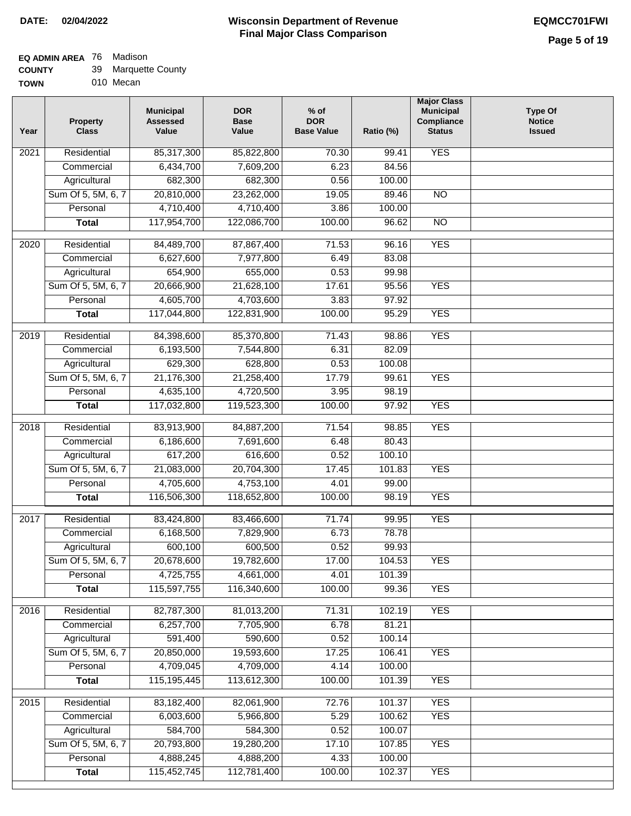### **EQ ADMIN AREA** 76 Madison

| <b>COUNTY</b> | 39 Marquette County |
|---------------|---------------------|
|---------------|---------------------|

**TOWN** 010 Mecan

| Year              | <b>Property</b><br><b>Class</b> | <b>Municipal</b><br><b>Assessed</b><br>Value | <b>DOR</b><br><b>Base</b><br>Value | $%$ of<br><b>DOR</b><br><b>Base Value</b> | Ratio (%) | <b>Major Class</b><br><b>Municipal</b><br>Compliance<br><b>Status</b> | <b>Type Of</b><br><b>Notice</b><br><b>Issued</b> |
|-------------------|---------------------------------|----------------------------------------------|------------------------------------|-------------------------------------------|-----------|-----------------------------------------------------------------------|--------------------------------------------------|
| $\overline{202}1$ | Residential                     | 85,317,300                                   | 85,822,800                         | 70.30                                     | 99.41     | <b>YES</b>                                                            |                                                  |
|                   | Commercial                      | 6,434,700                                    | 7,609,200                          | 6.23                                      | 84.56     |                                                                       |                                                  |
|                   | Agricultural                    | 682,300                                      | 682,300                            | 0.56                                      | 100.00    |                                                                       |                                                  |
|                   | Sum Of 5, 5M, 6, 7              | 20,810,000                                   | 23,262,000                         | 19.05                                     | 89.46     | $\overline{NO}$                                                       |                                                  |
|                   | Personal                        | 4,710,400                                    | 4,710,400                          | 3.86                                      | 100.00    |                                                                       |                                                  |
|                   | <b>Total</b>                    | 117,954,700                                  | 122,086,700                        | 100.00                                    | 96.62     | $\overline{NO}$                                                       |                                                  |
| $\overline{2020}$ | Residential                     | 84,489,700                                   | 87,867,400                         | 71.53                                     | 96.16     | <b>YES</b>                                                            |                                                  |
|                   | Commercial                      | 6,627,600                                    | 7,977,800                          | 6.49                                      | 83.08     |                                                                       |                                                  |
|                   | Agricultural                    | 654,900                                      | 655,000                            | 0.53                                      | 99.98     |                                                                       |                                                  |
|                   | Sum Of 5, 5M, 6, 7              | 20,666,900                                   | 21,628,100                         | 17.61                                     | 95.56     | <b>YES</b>                                                            |                                                  |
|                   | Personal                        | 4,605,700                                    | 4,703,600                          | 3.83                                      | 97.92     |                                                                       |                                                  |
|                   | <b>Total</b>                    | 117,044,800                                  | 122,831,900                        | 100.00                                    | 95.29     | <b>YES</b>                                                            |                                                  |
| 2019              | Residential                     | 84,398,600                                   | 85,370,800                         | 71.43                                     | 98.86     | <b>YES</b>                                                            |                                                  |
|                   | Commercial                      | 6,193,500                                    | 7,544,800                          | 6.31                                      | 82.09     |                                                                       |                                                  |
|                   | Agricultural                    | 629,300                                      | 628,800                            | 0.53                                      | 100.08    |                                                                       |                                                  |
|                   | Sum Of 5, 5M, 6, 7              | 21,176,300                                   | 21,258,400                         | 17.79                                     | 99.61     | <b>YES</b>                                                            |                                                  |
|                   | Personal                        | 4,635,100                                    | 4,720,500                          | 3.95                                      | 98.19     |                                                                       |                                                  |
|                   | <b>Total</b>                    | 117,032,800                                  | 119,523,300                        | 100.00                                    | 97.92     | <b>YES</b>                                                            |                                                  |
|                   |                                 |                                              |                                    |                                           |           |                                                                       |                                                  |
| 2018              | Residential                     | 83,913,900                                   | 84,887,200                         | 71.54                                     | 98.85     | <b>YES</b>                                                            |                                                  |
|                   | Commercial                      | 6,186,600                                    | 7,691,600                          | 6.48                                      | 80.43     |                                                                       |                                                  |
|                   | Agricultural                    | 617,200                                      | 616,600                            | 0.52                                      | 100.10    |                                                                       |                                                  |
|                   | Sum Of 5, 5M, 6, 7              | 21,083,000                                   | 20,704,300                         | 17.45                                     | 101.83    | <b>YES</b>                                                            |                                                  |
|                   | Personal                        | 4,705,600                                    | 4,753,100                          | 4.01                                      | 99.00     |                                                                       |                                                  |
|                   | <b>Total</b>                    | 116,506,300                                  | 118,652,800                        | 100.00                                    | 98.19     | <b>YES</b>                                                            |                                                  |
| 2017              | Residential                     | 83,424,800                                   | 83,466,600                         | 71.74                                     | 99.95     | <b>YES</b>                                                            |                                                  |
|                   | Commercial                      | 6,168,500                                    | 7,829,900                          | 6.73                                      | 78.78     |                                                                       |                                                  |
|                   | Agricultural                    | 600,100                                      | 600,500                            | 0.52                                      | 99.93     |                                                                       |                                                  |
|                   | Sum Of 5, 5M, 6, 7              | 20,678,600                                   | 19,782,600                         | 17.00                                     | 104.53    | <b>YES</b>                                                            |                                                  |
|                   | Personal                        | 4,725,755                                    | 4,661,000                          | 4.01                                      | 101.39    |                                                                       |                                                  |
|                   | <b>Total</b>                    | 115,597,755                                  | 116,340,600                        | 100.00                                    | 99.36     | <b>YES</b>                                                            |                                                  |
| 2016              | Residential                     | 82,787,300                                   | 81,013,200                         | 71.31                                     | 102.19    | <b>YES</b>                                                            |                                                  |
|                   | Commercial                      | 6,257,700                                    | 7,705,900                          | 6.78                                      | 81.21     |                                                                       |                                                  |
|                   | Agricultural                    | 591,400                                      | 590,600                            | 0.52                                      | 100.14    |                                                                       |                                                  |
|                   | Sum Of 5, 5M, 6, 7              | 20,850,000                                   | 19,593,600                         | 17.25                                     | 106.41    | <b>YES</b>                                                            |                                                  |
|                   | Personal                        | 4,709,045                                    | 4,709,000                          | 4.14                                      | 100.00    |                                                                       |                                                  |
|                   | <b>Total</b>                    | 115, 195, 445                                | 113,612,300                        | 100.00                                    | 101.39    | <b>YES</b>                                                            |                                                  |
| 2015              | Residential                     | 83,182,400                                   | 82,061,900                         | 72.76                                     | 101.37    | <b>YES</b>                                                            |                                                  |
|                   | Commercial                      | 6,003,600                                    | 5,966,800                          | 5.29                                      | 100.62    | <b>YES</b>                                                            |                                                  |
|                   | Agricultural                    | 584,700                                      | 584,300                            | 0.52                                      | 100.07    |                                                                       |                                                  |
|                   | Sum Of 5, 5M, 6, 7              | 20,793,800                                   | 19,280,200                         | 17.10                                     | 107.85    | <b>YES</b>                                                            |                                                  |
|                   | Personal                        | 4,888,245                                    | 4,888,200                          | 4.33                                      | 100.00    |                                                                       |                                                  |
|                   | <b>Total</b>                    | 115,452,745                                  | 112,781,400                        | 100.00                                    | 102.37    | <b>YES</b>                                                            |                                                  |
|                   |                                 |                                              |                                    |                                           |           |                                                                       |                                                  |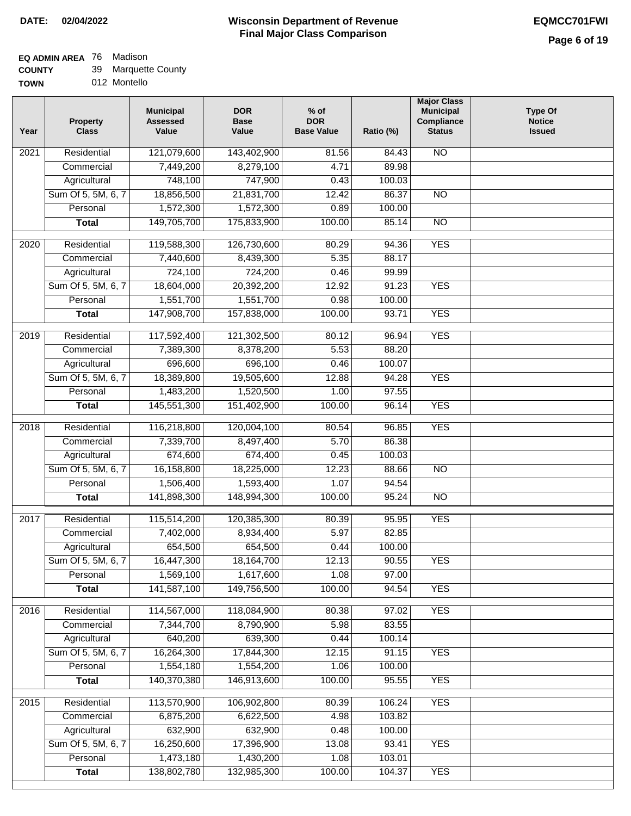### **EQ ADMIN AREA** 76 Madison

| <b>COUNTY</b> | 39 Marquette County |
|---------------|---------------------|
|---------------|---------------------|

| Year              | <b>Property</b><br><b>Class</b> | <b>Municipal</b><br><b>Assessed</b><br>Value | <b>DOR</b><br><b>Base</b><br>Value | $%$ of<br><b>DOR</b><br><b>Base Value</b> | Ratio (%) | <b>Major Class</b><br><b>Municipal</b><br>Compliance<br><b>Status</b> | <b>Type Of</b><br><b>Notice</b><br><b>Issued</b> |
|-------------------|---------------------------------|----------------------------------------------|------------------------------------|-------------------------------------------|-----------|-----------------------------------------------------------------------|--------------------------------------------------|
| 2021              | Residential                     | 121,079,600                                  | 143,402,900                        | 81.56                                     | 84.43     | <b>NO</b>                                                             |                                                  |
|                   | Commercial                      | 7,449,200                                    | 8,279,100                          | 4.71                                      | 89.98     |                                                                       |                                                  |
|                   | Agricultural                    | 748,100                                      | 747,900                            | 0.43                                      | 100.03    |                                                                       |                                                  |
|                   | Sum Of 5, 5M, 6, 7              | 18,856,500                                   | 21,831,700                         | 12.42                                     | 86.37     | $\overline{NO}$                                                       |                                                  |
|                   | Personal                        | 1,572,300                                    | 1,572,300                          | 0.89                                      | 100.00    |                                                                       |                                                  |
|                   | <b>Total</b>                    | 149,705,700                                  | 175,833,900                        | 100.00                                    | 85.14     | $\overline{NO}$                                                       |                                                  |
| $\overline{2020}$ | Residential                     | 119,588,300                                  | 126,730,600                        | 80.29                                     | 94.36     | <b>YES</b>                                                            |                                                  |
|                   | Commercial                      | 7,440,600                                    | 8,439,300                          | 5.35                                      | 88.17     |                                                                       |                                                  |
|                   | Agricultural                    | 724,100                                      | 724,200                            | 0.46                                      | 99.99     |                                                                       |                                                  |
|                   | Sum Of 5, 5M, 6, 7              | 18,604,000                                   | 20,392,200                         | 12.92                                     | 91.23     | <b>YES</b>                                                            |                                                  |
|                   | Personal                        | 1,551,700                                    | 1,551,700                          | 0.98                                      | 100.00    |                                                                       |                                                  |
|                   | <b>Total</b>                    | 147,908,700                                  | 157,838,000                        | 100.00                                    | 93.71     | <b>YES</b>                                                            |                                                  |
|                   |                                 |                                              |                                    |                                           |           |                                                                       |                                                  |
| $\frac{2019}{ }$  | Residential                     | 117,592,400                                  | 121,302,500                        | 80.12                                     | 96.94     | <b>YES</b>                                                            |                                                  |
|                   | Commercial                      | 7,389,300                                    | 8,378,200                          | 5.53                                      | 88.20     |                                                                       |                                                  |
|                   | Agricultural                    | 696,600                                      | 696,100                            | 0.46                                      | 100.07    |                                                                       |                                                  |
|                   | Sum Of 5, 5M, 6, 7              | 18,389,800                                   | 19,505,600                         | 12.88                                     | 94.28     | <b>YES</b>                                                            |                                                  |
|                   | Personal                        | 1,483,200                                    | 1,520,500                          | 1.00                                      | 97.55     |                                                                       |                                                  |
|                   | <b>Total</b>                    | 145,551,300                                  | 151,402,900                        | 100.00                                    | 96.14     | <b>YES</b>                                                            |                                                  |
| 2018              | Residential                     | 116,218,800                                  | 120,004,100                        | 80.54                                     | 96.85     | <b>YES</b>                                                            |                                                  |
|                   | Commercial                      | 7,339,700                                    | 8,497,400                          | 5.70                                      | 86.38     |                                                                       |                                                  |
|                   | Agricultural                    | 674,600                                      | 674,400                            | 0.45                                      | 100.03    |                                                                       |                                                  |
|                   | Sum Of 5, 5M, 6, 7              | 16,158,800                                   | 18,225,000                         | 12.23                                     | 88.66     | <b>NO</b>                                                             |                                                  |
|                   | Personal                        | 1,506,400                                    | 1,593,400                          | 1.07                                      | 94.54     |                                                                       |                                                  |
|                   | <b>Total</b>                    | 141,898,300                                  | 148,994,300                        | 100.00                                    | 95.24     | $\overline{10}$                                                       |                                                  |
| 2017              | Residential                     | 115,514,200                                  | 120,385,300                        | 80.39                                     | 95.95     | <b>YES</b>                                                            |                                                  |
|                   | Commercial                      | 7,402,000                                    | 8,934,400                          | 5.97                                      | 82.85     |                                                                       |                                                  |
|                   | Agricultural                    | 654,500                                      | 654,500                            | 0.44                                      | 100.00    |                                                                       |                                                  |
|                   | Sum Of 5, 5M, 6, 7              | 16,447,300                                   | 18, 164, 700                       | 12.13                                     | 90.55     | <b>YES</b>                                                            |                                                  |
|                   | Personal                        | 1,569,100                                    | 1,617,600                          | 1.08                                      | 97.00     |                                                                       |                                                  |
|                   | <b>Total</b>                    | 141,587,100                                  | 149,756,500                        | 100.00                                    | 94.54     | <b>YES</b>                                                            |                                                  |
| 2016              | Residential                     | 114,567,000                                  | 118,084,900                        | 80.38                                     | 97.02     | <b>YES</b>                                                            |                                                  |
|                   | Commercial                      | 7,344,700                                    | 8,790,900                          | 5.98                                      | 83.55     |                                                                       |                                                  |
|                   | Agricultural                    | 640,200                                      | 639,300                            | 0.44                                      | 100.14    |                                                                       |                                                  |
|                   | Sum Of 5, 5M, 6, 7              | 16,264,300                                   | 17,844,300                         | 12.15                                     | 91.15     | <b>YES</b>                                                            |                                                  |
|                   | Personal                        | 1,554,180                                    | 1,554,200                          | 1.06                                      | 100.00    |                                                                       |                                                  |
|                   | <b>Total</b>                    | 140,370,380                                  | 146,913,600                        | 100.00                                    | 95.55     | <b>YES</b>                                                            |                                                  |
| 2015              | Residential                     | 113,570,900                                  | 106,902,800                        | 80.39                                     | 106.24    | <b>YES</b>                                                            |                                                  |
|                   | Commercial                      | 6,875,200                                    | 6,622,500                          | 4.98                                      | 103.82    |                                                                       |                                                  |
|                   | Agricultural                    | 632,900                                      | 632,900                            | 0.48                                      | 100.00    |                                                                       |                                                  |
|                   | Sum Of 5, 5M, 6, 7              | 16,250,600                                   | 17,396,900                         | 13.08                                     | 93.41     | <b>YES</b>                                                            |                                                  |
|                   | Personal                        | 1,473,180                                    | 1,430,200                          | 1.08                                      | 103.01    |                                                                       |                                                  |
|                   | <b>Total</b>                    | 138,802,780                                  | 132,985,300                        | 100.00                                    | 104.37    | <b>YES</b>                                                            |                                                  |
|                   |                                 |                                              |                                    |                                           |           |                                                                       |                                                  |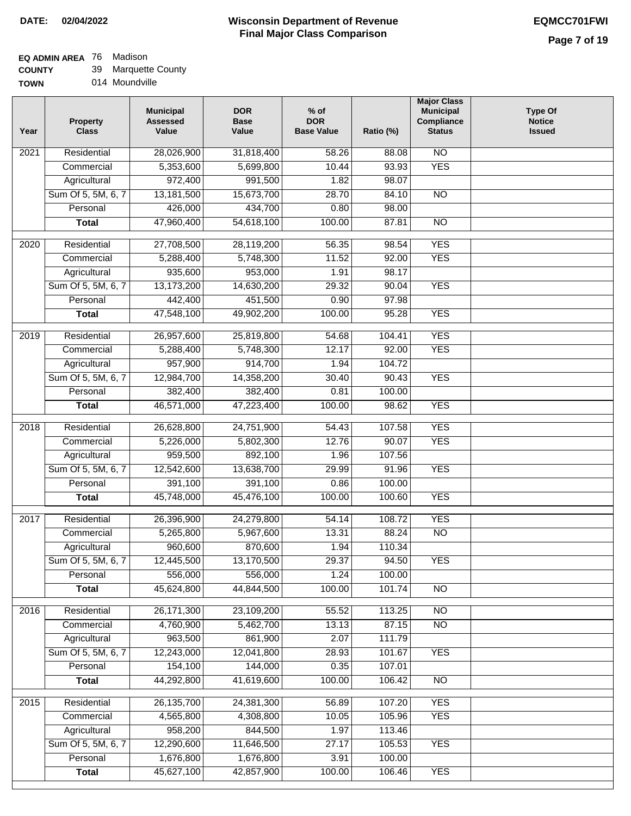## **EQ ADMIN AREA** 76 Madison

**COUNTY** 39 Marquette County

**TOWN** 014 Moundville

| Year              | <b>Property</b><br><b>Class</b> | <b>Municipal</b><br><b>Assessed</b><br>Value | <b>DOR</b><br><b>Base</b><br>Value | $%$ of<br><b>DOR</b><br><b>Base Value</b> | Ratio (%)        | <b>Major Class</b><br><b>Municipal</b><br>Compliance<br><b>Status</b> | <b>Type Of</b><br><b>Notice</b><br><b>Issued</b> |
|-------------------|---------------------------------|----------------------------------------------|------------------------------------|-------------------------------------------|------------------|-----------------------------------------------------------------------|--------------------------------------------------|
| $\overline{202}1$ | Residential                     | 28,026,900                                   | 31,818,400                         | 58.26                                     | 88.08            | N <sub>O</sub>                                                        |                                                  |
|                   | Commercial                      | 5,353,600                                    | 5,699,800                          | 10.44                                     | 93.93            | <b>YES</b>                                                            |                                                  |
|                   | Agricultural                    | 972,400                                      | 991,500                            | 1.82                                      | 98.07            |                                                                       |                                                  |
|                   | Sum Of 5, 5M, 6, 7              | 13,181,500                                   | 15,673,700                         | 28.70                                     | 84.10            | $\overline{NO}$                                                       |                                                  |
|                   | Personal                        | 426,000                                      | 434,700                            | 0.80                                      | 98.00            |                                                                       |                                                  |
|                   | <b>Total</b>                    | 47,960,400                                   | 54,618,100                         | 100.00                                    | 87.81            | $\overline{NO}$                                                       |                                                  |
| $\overline{2020}$ | Residential                     | 27,708,500                                   | 28,119,200                         | 56.35                                     | 98.54            | <b>YES</b>                                                            |                                                  |
|                   | Commercial                      | 5,288,400                                    | 5,748,300                          | 11.52                                     | 92.00            | <b>YES</b>                                                            |                                                  |
|                   | Agricultural                    | 935,600                                      | 953,000                            | 1.91                                      | 98.17            |                                                                       |                                                  |
|                   | Sum Of 5, 5M, 6, 7              | 13,173,200                                   | 14,630,200                         | 29.32                                     | 90.04            | <b>YES</b>                                                            |                                                  |
|                   | Personal                        | 442,400                                      | 451,500                            | 0.90                                      | 97.98            |                                                                       |                                                  |
|                   | <b>Total</b>                    | 47,548,100                                   | 49,902,200                         | 100.00                                    | 95.28            | <b>YES</b>                                                            |                                                  |
| 2019              | Residential                     | 26,957,600                                   | 25,819,800                         | 54.68                                     | 104.41           | <b>YES</b>                                                            |                                                  |
|                   | Commercial                      | 5,288,400                                    | 5,748,300                          | 12.17                                     | 92.00            | <b>YES</b>                                                            |                                                  |
|                   | Agricultural                    | 957,900                                      | 914,700                            | 1.94                                      | 104.72           |                                                                       |                                                  |
|                   | Sum Of 5, 5M, 6, 7              | 12,984,700                                   | 14,358,200                         | 30.40                                     | 90.43            | <b>YES</b>                                                            |                                                  |
|                   | Personal                        | 382,400                                      | 382,400                            | 0.81                                      | 100.00           |                                                                       |                                                  |
|                   | <b>Total</b>                    | 46,571,000                                   | 47,223,400                         | 100.00                                    | 98.62            | <b>YES</b>                                                            |                                                  |
| 2018              | Residential                     | 26,628,800                                   | 24,751,900                         | 54.43                                     | 107.58           | <b>YES</b>                                                            |                                                  |
|                   | Commercial                      | 5,226,000                                    | 5,802,300                          | 12.76                                     | 90.07            | <b>YES</b>                                                            |                                                  |
|                   | Agricultural                    | 959,500                                      | 892,100                            | 1.96                                      | 107.56           |                                                                       |                                                  |
|                   | Sum Of 5, 5M, 6, 7              | 12,542,600                                   | 13,638,700                         | 29.99                                     | 91.96            | <b>YES</b>                                                            |                                                  |
|                   | Personal                        | 391,100                                      | 391,100                            | 0.86                                      | 100.00           |                                                                       |                                                  |
|                   | <b>Total</b>                    | 45,748,000                                   | 45,476,100                         | 100.00                                    | 100.60           | <b>YES</b>                                                            |                                                  |
|                   |                                 |                                              |                                    |                                           |                  |                                                                       |                                                  |
| $\overline{2017}$ | Residential                     | 26,396,900                                   | 24,279,800                         | 54.14                                     | 108.72           | <b>YES</b>                                                            |                                                  |
|                   | Commercial                      | 5,265,800                                    | 5,967,600                          | 13.31                                     | 88.24            | $\overline{N}$                                                        |                                                  |
|                   | Agricultural                    | 960,600                                      | 870,600                            | 1.94                                      | 110.34           |                                                                       |                                                  |
|                   | Sum Of 5, 5M, 6, 7              | 12,445,500                                   | 13,170,500                         | 29.37                                     | 94.50            | <b>YES</b>                                                            |                                                  |
|                   | Personal<br><b>Total</b>        | 556,000<br>45,624,800                        | 556,000<br>44,844,500              | 1.24<br>100.00                            | 100.00<br>101.74 | <b>NO</b>                                                             |                                                  |
|                   |                                 |                                              |                                    |                                           |                  |                                                                       |                                                  |
| 2016              | Residential                     | 26, 171, 300                                 | 23,109,200                         | 55.52                                     | 113.25           | $\overline{NO}$                                                       |                                                  |
|                   | Commercial                      | 4,760,900                                    | 5,462,700                          | 13.13                                     | 87.15            | N <sub>O</sub>                                                        |                                                  |
|                   | Agricultural                    | 963,500                                      | 861,900                            | 2.07                                      | 111.79           |                                                                       |                                                  |
|                   | Sum Of 5, 5M, 6, 7              | 12,243,000                                   | 12,041,800                         | 28.93                                     | 101.67           | <b>YES</b>                                                            |                                                  |
|                   | Personal                        | 154,100                                      | 144,000                            | 0.35                                      | 107.01           |                                                                       |                                                  |
|                   | <b>Total</b>                    | 44,292,800                                   | 41,619,600                         | 100.00                                    | 106.42           | N <sub>O</sub>                                                        |                                                  |
| 2015              | Residential                     | 26, 135, 700                                 | 24,381,300                         | 56.89                                     | 107.20           | <b>YES</b>                                                            |                                                  |
|                   | Commercial                      | 4,565,800                                    | 4,308,800                          | 10.05                                     | 105.96           | <b>YES</b>                                                            |                                                  |
|                   | Agricultural                    | 958,200                                      | 844,500                            | 1.97                                      | 113.46           |                                                                       |                                                  |
|                   | Sum Of 5, 5M, 6, 7              | 12,290,600                                   | 11,646,500                         | 27.17                                     | 105.53           | <b>YES</b>                                                            |                                                  |
|                   | Personal                        | 1,676,800                                    | 1,676,800                          | 3.91                                      | 100.00           |                                                                       |                                                  |
|                   | <b>Total</b>                    | 45,627,100                                   | 42,857,900                         | 100.00                                    | 106.46           | <b>YES</b>                                                            |                                                  |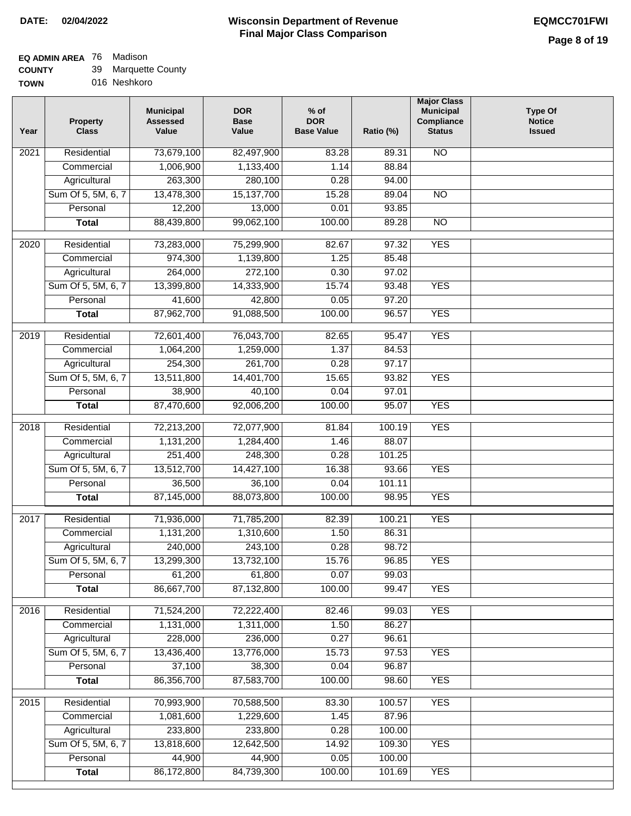### **EQ ADMIN AREA** 76 Madison

| <b>COUNTY</b> | 39 Marquette County |
|---------------|---------------------|
| <b>TOWN</b>   | 016 Neshkoro        |

016 Neshkoro

| Year              | <b>Property</b><br><b>Class</b> | <b>Municipal</b><br><b>Assessed</b><br>Value | <b>DOR</b><br><b>Base</b><br>Value | $%$ of<br><b>DOR</b><br><b>Base Value</b> | Ratio (%) | <b>Major Class</b><br><b>Municipal</b><br>Compliance<br><b>Status</b> | <b>Type Of</b><br><b>Notice</b><br><b>Issued</b> |
|-------------------|---------------------------------|----------------------------------------------|------------------------------------|-------------------------------------------|-----------|-----------------------------------------------------------------------|--------------------------------------------------|
| $\overline{202}1$ | Residential                     | 73,679,100                                   | 82,497,900                         | 83.28                                     | 89.31     | <b>NO</b>                                                             |                                                  |
|                   | Commercial                      | 1,006,900                                    | 1,133,400                          | 1.14                                      | 88.84     |                                                                       |                                                  |
|                   | Agricultural                    | 263,300                                      | 280,100                            | 0.28                                      | 94.00     |                                                                       |                                                  |
|                   | Sum Of 5, 5M, 6, 7              | 13,478,300                                   | 15,137,700                         | 15.28                                     | 89.04     | $\overline{NO}$                                                       |                                                  |
|                   | Personal                        | 12,200                                       | 13,000                             | 0.01                                      | 93.85     |                                                                       |                                                  |
|                   | <b>Total</b>                    | 88,439,800                                   | 99,062,100                         | 100.00                                    | 89.28     | $\overline{NO}$                                                       |                                                  |
| $\overline{2020}$ | Residential                     | 73,283,000                                   | 75,299,900                         | 82.67                                     | 97.32     | <b>YES</b>                                                            |                                                  |
|                   | Commercial                      | 974,300                                      | 1,139,800                          | 1.25                                      | 85.48     |                                                                       |                                                  |
|                   | Agricultural                    | 264,000                                      | 272,100                            | 0.30                                      | 97.02     |                                                                       |                                                  |
|                   | Sum Of 5, 5M, 6, 7              | 13,399,800                                   | 14,333,900                         | 15.74                                     | 93.48     | <b>YES</b>                                                            |                                                  |
|                   | Personal                        | 41,600                                       | 42,800                             | 0.05                                      | 97.20     |                                                                       |                                                  |
|                   | <b>Total</b>                    | 87,962,700                                   | 91,088,500                         | 100.00                                    | 96.57     | <b>YES</b>                                                            |                                                  |
|                   | Residential                     | 72,601,400                                   | 76,043,700                         | 82.65                                     | 95.47     | <b>YES</b>                                                            |                                                  |
| 2019              | Commercial                      | 1,064,200                                    | 1,259,000                          | 1.37                                      | 84.53     |                                                                       |                                                  |
|                   | Agricultural                    | 254,300                                      | 261,700                            | 0.28                                      | 97.17     |                                                                       |                                                  |
|                   | Sum Of 5, 5M, 6, 7              | 13,511,800                                   | 14,401,700                         | 15.65                                     | 93.82     | <b>YES</b>                                                            |                                                  |
|                   | Personal                        | 38,900                                       | 40,100                             | 0.04                                      | 97.01     |                                                                       |                                                  |
|                   | <b>Total</b>                    | 87,470,600                                   | 92,006,200                         | 100.00                                    | 95.07     | <b>YES</b>                                                            |                                                  |
|                   |                                 |                                              |                                    |                                           |           |                                                                       |                                                  |
| 2018              | Residential                     | 72,213,200                                   | 72,077,900                         | 81.84                                     | 100.19    | <b>YES</b>                                                            |                                                  |
|                   | Commercial                      | 1,131,200                                    | 1,284,400                          | 1.46                                      | 88.07     |                                                                       |                                                  |
|                   | Agricultural                    | 251,400                                      | 248,300                            | 0.28                                      | 101.25    |                                                                       |                                                  |
|                   | Sum Of 5, 5M, 6, 7              | 13,512,700                                   | 14,427,100                         | 16.38                                     | 93.66     | <b>YES</b>                                                            |                                                  |
|                   | Personal                        | 36,500                                       | 36,100                             | 0.04                                      | 101.11    |                                                                       |                                                  |
|                   | <b>Total</b>                    | 87,145,000                                   | 88,073,800                         | 100.00                                    | 98.95     | <b>YES</b>                                                            |                                                  |
| 2017              | Residential                     | 71,936,000                                   | 71,785,200                         | 82.39                                     | 100.21    | <b>YES</b>                                                            |                                                  |
|                   | Commercial                      | 1,131,200                                    | 1,310,600                          | 1.50                                      | 86.31     |                                                                       |                                                  |
|                   | Agricultural                    | 240,000                                      | 243,100                            | 0.28                                      | 98.72     |                                                                       |                                                  |
|                   | Sum Of 5, 5M, 6, 7              | 13,299,300                                   | 13,732,100                         | 15.76                                     | 96.85     | <b>YES</b>                                                            |                                                  |
|                   | Personal                        | 61,200                                       | 61,800                             | 0.07                                      | 99.03     |                                                                       |                                                  |
|                   | <b>Total</b>                    | 86,667,700                                   | 87,132,800                         | 100.00                                    | 99.47     | <b>YES</b>                                                            |                                                  |
| 2016              | Residential                     | 71,524,200                                   | 72,222,400                         | 82.46                                     | 99.03     | <b>YES</b>                                                            |                                                  |
|                   | Commercial                      | 1,131,000                                    | 1,311,000                          | 1.50                                      | 86.27     |                                                                       |                                                  |
|                   | Agricultural                    | 228,000                                      | 236,000                            | 0.27                                      | 96.61     |                                                                       |                                                  |
|                   | Sum Of 5, 5M, 6, 7              | 13,436,400                                   | 13,776,000                         | 15.73                                     | 97.53     | <b>YES</b>                                                            |                                                  |
|                   | Personal                        | 37,100                                       | 38,300                             | 0.04                                      | 96.87     |                                                                       |                                                  |
|                   | <b>Total</b>                    | 86,356,700                                   | 87,583,700                         | 100.00                                    | 98.60     | <b>YES</b>                                                            |                                                  |
| 2015              | Residential                     | 70,993,900                                   | 70,588,500                         | 83.30                                     | 100.57    | <b>YES</b>                                                            |                                                  |
|                   | Commercial                      | 1,081,600                                    | 1,229,600                          | 1.45                                      | 87.96     |                                                                       |                                                  |
|                   | Agricultural                    | 233,800                                      | 233,800                            | 0.28                                      | 100.00    |                                                                       |                                                  |
|                   | Sum Of 5, 5M, 6, 7              | 13,818,600                                   | 12,642,500                         | 14.92                                     | 109.30    | <b>YES</b>                                                            |                                                  |
|                   | Personal                        | 44,900                                       | 44,900                             | 0.05                                      | 100.00    |                                                                       |                                                  |
|                   | <b>Total</b>                    | 86,172,800                                   | 84,739,300                         | 100.00                                    | 101.69    | <b>YES</b>                                                            |                                                  |
|                   |                                 |                                              |                                    |                                           |           |                                                                       |                                                  |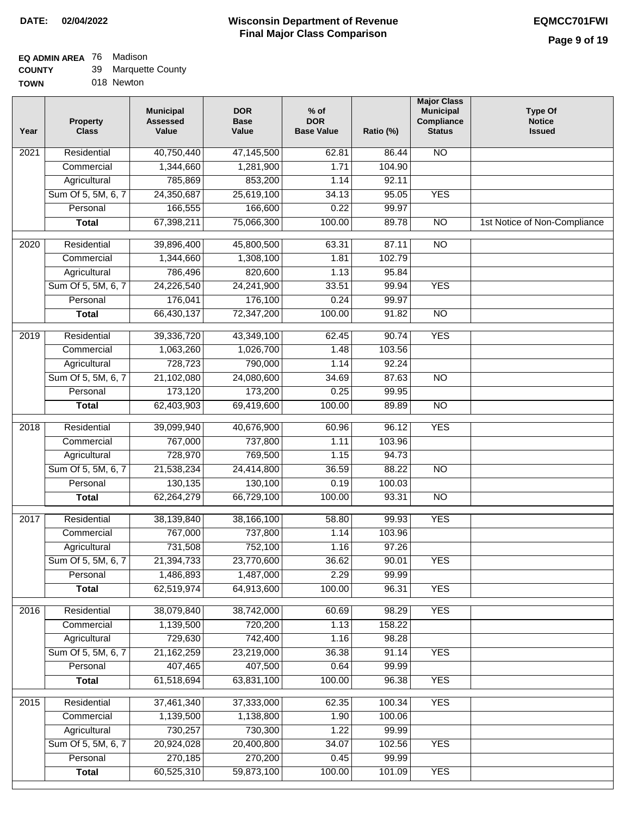## **EQ ADMIN AREA** 76 Madison

| <b>COUNTY</b> | 39 Marquette County |
|---------------|---------------------|
|---------------|---------------------|

**TOWN** 018 Newton

| Year | <b>Property</b><br><b>Class</b> | <b>Municipal</b><br><b>Assessed</b><br>Value | <b>DOR</b><br><b>Base</b><br>Value | $%$ of<br><b>DOR</b><br><b>Base Value</b> | Ratio (%) | <b>Major Class</b><br><b>Municipal</b><br>Compliance<br><b>Status</b> | <b>Type Of</b><br><b>Notice</b><br><b>Issued</b> |
|------|---------------------------------|----------------------------------------------|------------------------------------|-------------------------------------------|-----------|-----------------------------------------------------------------------|--------------------------------------------------|
| 2021 | Residential                     | 40,750,440                                   | 47,145,500                         | 62.81                                     | 86.44     | N <sub>O</sub>                                                        |                                                  |
|      | Commercial                      | 1,344,660                                    | 1,281,900                          | 1.71                                      | 104.90    |                                                                       |                                                  |
|      | Agricultural                    | 785,869                                      | 853,200                            | 1.14                                      | 92.11     |                                                                       |                                                  |
|      | Sum Of 5, 5M, 6, 7              | 24,350,687                                   | 25,619,100                         | 34.13                                     | 95.05     | <b>YES</b>                                                            |                                                  |
|      | Personal                        | 166,555                                      | 166,600                            | 0.22                                      | 99.97     |                                                                       |                                                  |
|      | <b>Total</b>                    | 67,398,211                                   | 75,066,300                         | 100.00                                    | 89.78     | $\overline{NO}$                                                       | 1st Notice of Non-Compliance                     |
| 2020 | Residential                     | 39,896,400                                   | 45,800,500                         | 63.31                                     | 87.11     | $\overline{10}$                                                       |                                                  |
|      | Commercial                      | 1,344,660                                    | 1,308,100                          | 1.81                                      | 102.79    |                                                                       |                                                  |
|      | Agricultural                    | 786,496                                      | 820,600                            | 1.13                                      | 95.84     |                                                                       |                                                  |
|      | Sum Of 5, 5M, 6, 7              | 24,226,540                                   | 24,241,900                         | 33.51                                     | 99.94     | <b>YES</b>                                                            |                                                  |
|      | Personal                        | 176,041                                      | 176,100                            | 0.24                                      | 99.97     |                                                                       |                                                  |
|      | <b>Total</b>                    | 66,430,137                                   | 72,347,200                         | 100.00                                    | 91.82     | $\overline{NO}$                                                       |                                                  |
| 2019 | Residential                     | 39,336,720                                   | 43,349,100                         | 62.45                                     | 90.74     | <b>YES</b>                                                            |                                                  |
|      | Commercial                      | 1,063,260                                    | 1,026,700                          | 1.48                                      | 103.56    |                                                                       |                                                  |
|      | Agricultural                    | 728,723                                      | 790,000                            | 1.14                                      | 92.24     |                                                                       |                                                  |
|      | Sum Of 5, 5M, 6, 7              | 21,102,080                                   | 24,080,600                         | 34.69                                     | 87.63     | $\overline{NO}$                                                       |                                                  |
|      | Personal                        | 173,120                                      | 173,200                            | 0.25                                      | 99.95     |                                                                       |                                                  |
|      | <b>Total</b>                    | 62,403,903                                   | 69,419,600                         | 100.00                                    | 89.89     | <b>NO</b>                                                             |                                                  |
| 2018 | Residential                     | 39,099,940                                   | 40,676,900                         | 60.96                                     | 96.12     | <b>YES</b>                                                            |                                                  |
|      | Commercial                      | 767,000                                      | 737,800                            | 1.11                                      | 103.96    |                                                                       |                                                  |
|      | Agricultural                    | 728,970                                      | 769,500                            | 1.15                                      | 94.73     |                                                                       |                                                  |
|      | Sum Of 5, 5M, 6, 7              | 21,538,234                                   | 24,414,800                         | 36.59                                     | 88.22     | $\overline{10}$                                                       |                                                  |
|      | Personal                        | 130,135                                      | 130,100                            | 0.19                                      | 100.03    |                                                                       |                                                  |
|      | <b>Total</b>                    | 62,264,279                                   | 66,729,100                         | 100.00                                    | 93.31     | $\overline{10}$                                                       |                                                  |
| 2017 | Residential                     | 38,139,840                                   | 38,166,100                         | 58.80                                     | 99.93     | <b>YES</b>                                                            |                                                  |
|      | Commercial                      | 767,000                                      | 737,800                            | 1.14                                      | 103.96    |                                                                       |                                                  |
|      | Agricultural                    | 731,508                                      | 752,100                            | 1.16                                      | 97.26     |                                                                       |                                                  |
|      | Sum Of 5, 5M, 6, 7              | 21,394,733                                   | 23,770,600                         | 36.62                                     | 90.01     | <b>YES</b>                                                            |                                                  |
|      | Personal                        | 1,486,893                                    | 1,487,000                          | 2.29                                      | 99.99     |                                                                       |                                                  |
|      | <b>Total</b>                    | 62,519,974                                   | 64,913,600                         | 100.00                                    | 96.31     | <b>YES</b>                                                            |                                                  |
| 2016 | Residential                     | 38,079,840                                   | 38,742,000                         | 60.69                                     | 98.29     | <b>YES</b>                                                            |                                                  |
|      | Commercial                      | 1,139,500                                    | 720,200                            | 1.13                                      | 158.22    |                                                                       |                                                  |
|      | Agricultural                    | 729,630                                      | 742,400                            | 1.16                                      | 98.28     |                                                                       |                                                  |
|      | Sum Of 5, 5M, 6, 7              | 21, 162, 259                                 | 23,219,000                         | 36.38                                     | 91.14     | <b>YES</b>                                                            |                                                  |
|      | Personal                        | 407,465                                      | 407,500                            | 0.64                                      | 99.99     |                                                                       |                                                  |
|      | <b>Total</b>                    | 61,518,694                                   | 63,831,100                         | 100.00                                    | 96.38     | <b>YES</b>                                                            |                                                  |
| 2015 | Residential                     | 37,461,340                                   | 37,333,000                         | 62.35                                     | 100.34    | <b>YES</b>                                                            |                                                  |
|      | Commercial                      | 1,139,500                                    | 1,138,800                          | 1.90                                      | 100.06    |                                                                       |                                                  |
|      | Agricultural                    | 730,257                                      | 730,300                            | 1.22                                      | 99.99     |                                                                       |                                                  |
|      | Sum Of 5, 5M, 6, 7              | 20,924,028                                   | 20,400,800                         | 34.07                                     | 102.56    | <b>YES</b>                                                            |                                                  |
|      | Personal                        | 270,185                                      | 270,200                            | 0.45                                      | 99.99     |                                                                       |                                                  |
|      | <b>Total</b>                    | 60,525,310                                   | 59,873,100                         | 100.00                                    | 101.09    | <b>YES</b>                                                            |                                                  |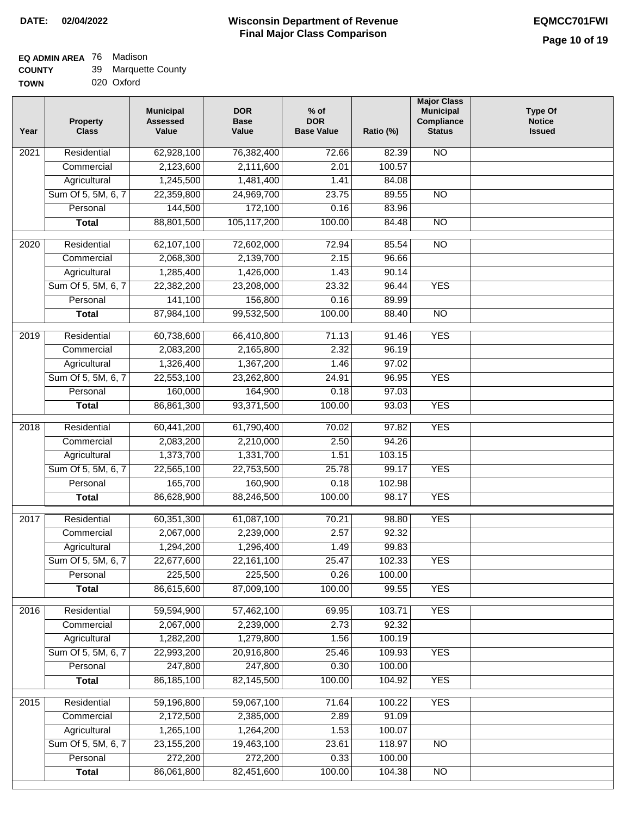# **EQ ADMIN AREA** 76 Madison

| <b>COUNTY</b> |  | 39 Marquette County |
|---------------|--|---------------------|
|---------------|--|---------------------|

**TOWN** 020 Oxford

| Year              | <b>Property</b><br><b>Class</b> | <b>Municipal</b><br><b>Assessed</b><br>Value | <b>DOR</b><br><b>Base</b><br>Value | % of<br><b>DOR</b><br><b>Base Value</b> | Ratio (%) | <b>Major Class</b><br><b>Municipal</b><br>Compliance<br><b>Status</b> | <b>Type Of</b><br><b>Notice</b><br><b>Issued</b> |
|-------------------|---------------------------------|----------------------------------------------|------------------------------------|-----------------------------------------|-----------|-----------------------------------------------------------------------|--------------------------------------------------|
| $\overline{202}1$ | Residential                     | 62,928,100                                   | 76,382,400                         | 72.66                                   | 82.39     | <b>NO</b>                                                             |                                                  |
|                   | Commercial                      | 2,123,600                                    | 2,111,600                          | 2.01                                    | 100.57    |                                                                       |                                                  |
|                   | Agricultural                    | 1,245,500                                    | 1,481,400                          | 1.41                                    | 84.08     |                                                                       |                                                  |
|                   | Sum Of 5, 5M, 6, 7              | 22,359,800                                   | 24,969,700                         | 23.75                                   | 89.55     | $\overline{NO}$                                                       |                                                  |
|                   | Personal                        | 144,500                                      | 172,100                            | 0.16                                    | 83.96     |                                                                       |                                                  |
|                   | <b>Total</b>                    | 88,801,500                                   | 105,117,200                        | 100.00                                  | 84.48     | $\overline{NO}$                                                       |                                                  |
| $\overline{2020}$ | Residential                     | 62,107,100                                   | 72,602,000                         | 72.94                                   | 85.54     | $\overline{N}$                                                        |                                                  |
|                   | Commercial                      | 2,068,300                                    | 2,139,700                          | 2.15                                    | 96.66     |                                                                       |                                                  |
|                   | Agricultural                    | 1,285,400                                    | 1,426,000                          | 1.43                                    | 90.14     |                                                                       |                                                  |
|                   | Sum Of 5, 5M, 6, 7              | 22,382,200                                   | 23,208,000                         | 23.32                                   | 96.44     | <b>YES</b>                                                            |                                                  |
|                   | Personal                        | 141,100                                      | 156,800                            | 0.16                                    | 89.99     |                                                                       |                                                  |
|                   | <b>Total</b>                    | 87,984,100                                   | 99,532,500                         | 100.00                                  | 88.40     | $\overline{NO}$                                                       |                                                  |
|                   |                                 |                                              |                                    |                                         |           |                                                                       |                                                  |
| $\frac{2019}{ }$  | Residential                     | 60,738,600                                   | 66,410,800                         | 71.13                                   | 91.46     | <b>YES</b>                                                            |                                                  |
|                   | Commercial                      | 2,083,200                                    | 2,165,800                          | 2.32                                    | 96.19     |                                                                       |                                                  |
|                   | Agricultural                    | 1,326,400                                    | 1,367,200                          | 1.46                                    | 97.02     |                                                                       |                                                  |
|                   | Sum Of 5, 5M, 6, 7              | 22,553,100                                   | 23,262,800                         | 24.91                                   | 96.95     | <b>YES</b>                                                            |                                                  |
|                   | Personal                        | 160,000                                      | 164,900                            | 0.18                                    | 97.03     |                                                                       |                                                  |
|                   | <b>Total</b>                    | 86,861,300                                   | 93,371,500                         | 100.00                                  | 93.03     | <b>YES</b>                                                            |                                                  |
| 2018              | Residential                     | 60,441,200                                   | 61,790,400                         | 70.02                                   | 97.82     | <b>YES</b>                                                            |                                                  |
|                   | Commercial                      | 2,083,200                                    | 2,210,000                          | 2.50                                    | 94.26     |                                                                       |                                                  |
|                   | Agricultural                    | 1,373,700                                    | 1,331,700                          | 1.51                                    | 103.15    |                                                                       |                                                  |
|                   | Sum Of 5, 5M, 6, 7              | 22,565,100                                   | 22,753,500                         | 25.78                                   | 99.17     | <b>YES</b>                                                            |                                                  |
|                   | Personal                        | 165,700                                      | 160,900                            | 0.18                                    | 102.98    |                                                                       |                                                  |
|                   | <b>Total</b>                    | 86,628,900                                   | 88,246,500                         | 100.00                                  | 98.17     | <b>YES</b>                                                            |                                                  |
| $\overline{2017}$ | Residential                     | 60,351,300                                   | 61,087,100                         | 70.21                                   | 98.80     | <b>YES</b>                                                            |                                                  |
|                   | Commercial                      | 2,067,000                                    | 2,239,000                          | 2.57                                    | 92.32     |                                                                       |                                                  |
|                   | Agricultural                    | 1,294,200                                    | 1,296,400                          | 1.49                                    | 99.83     |                                                                       |                                                  |
|                   | Sum Of 5, 5M, 6, 7              | 22,677,600                                   | 22,161,100                         | 25.47                                   | 102.33    | <b>YES</b>                                                            |                                                  |
|                   | Personal                        | 225,500                                      | 225,500                            | 0.26                                    | 100.00    |                                                                       |                                                  |
|                   | <b>Total</b>                    | 86,615,600                                   | 87,009,100                         | 100.00                                  | 99.55     | <b>YES</b>                                                            |                                                  |
| 2016              | Residential                     | 59,594,900                                   | 57,462,100                         | 69.95                                   | 103.71    | <b>YES</b>                                                            |                                                  |
|                   | Commercial                      | 2,067,000                                    | 2,239,000                          | 2.73                                    | 92.32     |                                                                       |                                                  |
|                   | Agricultural                    | 1,282,200                                    | 1,279,800                          | 1.56                                    | 100.19    |                                                                       |                                                  |
|                   | Sum Of 5, 5M, 6, 7              | 22,993,200                                   | 20,916,800                         | 25.46                                   | 109.93    | <b>YES</b>                                                            |                                                  |
|                   | Personal                        | 247,800                                      | 247,800                            | 0.30                                    | 100.00    |                                                                       |                                                  |
|                   | <b>Total</b>                    | 86, 185, 100                                 | 82,145,500                         | 100.00                                  | 104.92    | <b>YES</b>                                                            |                                                  |
| 2015              | Residential                     | 59,196,800                                   | 59,067,100                         | 71.64                                   | 100.22    | <b>YES</b>                                                            |                                                  |
|                   | Commercial                      | 2,172,500                                    | 2,385,000                          | 2.89                                    | 91.09     |                                                                       |                                                  |
|                   | Agricultural                    | 1,265,100                                    | 1,264,200                          | 1.53                                    | 100.07    |                                                                       |                                                  |
|                   | Sum Of 5, 5M, 6, 7              | 23,155,200                                   | 19,463,100                         | 23.61                                   | 118.97    | <b>NO</b>                                                             |                                                  |
|                   | Personal                        | 272,200                                      | 272,200                            | 0.33                                    | 100.00    |                                                                       |                                                  |
|                   | <b>Total</b>                    | 86,061,800                                   | 82,451,600                         | 100.00                                  | 104.38    | N <sub>O</sub>                                                        |                                                  |
|                   |                                 |                                              |                                    |                                         |           |                                                                       |                                                  |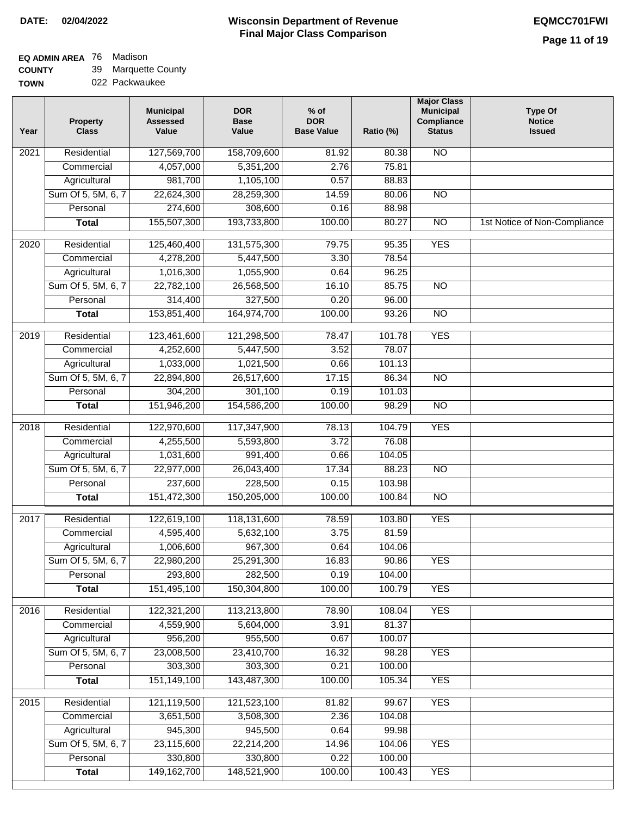#### **Wisconsin Department of Revenue Final Major Class Comparison DATE: 02/04/2022 EQMCC701FWI**

### **EQ ADMIN AREA** 76 Madison

**COUNTY TOW** 39 Marquette County

| Year | <b>Property</b><br><b>Class</b> | <b>Municipal</b><br><b>Assessed</b><br>Value | <b>DOR</b><br><b>Base</b><br>Value | $%$ of<br><b>DOR</b><br><b>Base Value</b> | Ratio (%) | <b>Major Class</b><br><b>Municipal</b><br>Compliance<br><b>Status</b> | <b>Type Of</b><br><b>Notice</b><br><b>Issued</b> |
|------|---------------------------------|----------------------------------------------|------------------------------------|-------------------------------------------|-----------|-----------------------------------------------------------------------|--------------------------------------------------|
| 2021 | Residential                     | 127,569,700                                  | 158,709,600                        | 81.92                                     | 80.38     | <b>NO</b>                                                             |                                                  |
|      | Commercial                      | 4,057,000                                    | 5,351,200                          | 2.76                                      | 75.81     |                                                                       |                                                  |
|      | Agricultural                    | 981,700                                      | 1,105,100                          | 0.57                                      | 88.83     |                                                                       |                                                  |
|      | Sum Of 5, 5M, 6, 7              | 22,624,300                                   | 28,259,300                         | 14.59                                     | 80.06     | <b>NO</b>                                                             |                                                  |
|      | Personal                        | 274,600                                      | 308,600                            | 0.16                                      | 88.98     |                                                                       |                                                  |
|      | <b>Total</b>                    | 155,507,300                                  | 193,733,800                        | 100.00                                    | 80.27     | $\overline{NO}$                                                       | 1st Notice of Non-Compliance                     |
| 2020 | Residential                     | 125,460,400                                  | 131,575,300                        | 79.75                                     | 95.35     | <b>YES</b>                                                            |                                                  |
|      | Commercial                      | 4,278,200                                    | 5,447,500                          | 3.30                                      | 78.54     |                                                                       |                                                  |
|      | Agricultural                    | 1,016,300                                    | 1,055,900                          | 0.64                                      | 96.25     |                                                                       |                                                  |
|      | Sum Of 5, 5M, 6, 7              | 22,782,100                                   | 26,568,500                         | 16.10                                     | 85.75     | $\overline{NO}$                                                       |                                                  |
|      | Personal                        | 314,400                                      | 327,500                            | 0.20                                      | 96.00     |                                                                       |                                                  |
|      | <b>Total</b>                    | 153,851,400                                  | 164,974,700                        | 100.00                                    | 93.26     | $\overline{NO}$                                                       |                                                  |
|      |                                 |                                              |                                    |                                           |           |                                                                       |                                                  |
| 2019 | Residential                     | 123,461,600                                  | 121,298,500                        | 78.47                                     | 101.78    | <b>YES</b>                                                            |                                                  |
|      | Commercial                      | 4,252,600                                    | 5,447,500                          | 3.52                                      | 78.07     |                                                                       |                                                  |
|      | Agricultural                    | 1,033,000                                    | 1,021,500                          | 0.66                                      | 101.13    |                                                                       |                                                  |
|      | Sum Of 5, 5M, 6, 7              | 22,894,800                                   | 26,517,600                         | 17.15                                     | 86.34     | $\overline{NO}$                                                       |                                                  |
|      | Personal                        | 304,200                                      | 301,100                            | 0.19                                      | 101.03    |                                                                       |                                                  |
|      | <b>Total</b>                    | 151,946,200                                  | 154,586,200                        | 100.00                                    | 98.29     | $\overline{NO}$                                                       |                                                  |
| 2018 | Residential                     | 122,970,600                                  | 117,347,900                        | 78.13                                     | 104.79    | <b>YES</b>                                                            |                                                  |
|      | Commercial                      | 4,255,500                                    | 5,593,800                          | 3.72                                      | 76.08     |                                                                       |                                                  |
|      | Agricultural                    | 1,031,600                                    | 991,400                            | 0.66                                      | 104.05    |                                                                       |                                                  |
|      | Sum Of 5, 5M, 6, 7              | 22,977,000                                   | 26,043,400                         | 17.34                                     | 88.23     | $\overline{10}$                                                       |                                                  |
|      | Personal                        | 237,600                                      | 228,500                            | 0.15                                      | 103.98    |                                                                       |                                                  |
|      | <b>Total</b>                    | 151,472,300                                  | 150,205,000                        | 100.00                                    | 100.84    | $\overline{10}$                                                       |                                                  |
| 2017 | Residential                     | 122,619,100                                  | 118,131,600                        | 78.59                                     | 103.80    | <b>YES</b>                                                            |                                                  |
|      | Commercial                      | 4,595,400                                    | 5,632,100                          | 3.75                                      | 81.59     |                                                                       |                                                  |
|      | Agricultural                    | 1,006,600                                    | 967,300                            | 0.64                                      | 104.06    |                                                                       |                                                  |
|      | Sum Of 5, 5M, 6, 7              | 22,980,200                                   | 25,291,300                         | 16.83                                     | 90.86     | <b>YES</b>                                                            |                                                  |
|      | Personal                        | 293,800                                      | 282,500                            | 0.19                                      | 104.00    |                                                                       |                                                  |
|      | <b>Total</b>                    | 151,495,100                                  | 150,304,800                        | 100.00                                    | 100.79    | <b>YES</b>                                                            |                                                  |
| 2016 | Residential                     | 122,321,200                                  | 113,213,800                        | 78.90                                     | 108.04    | <b>YES</b>                                                            |                                                  |
|      | Commercial                      | 4,559,900                                    | 5,604,000                          | 3.91                                      | 81.37     |                                                                       |                                                  |
|      | Agricultural                    | 956,200                                      | 955,500                            | 0.67                                      | 100.07    |                                                                       |                                                  |
|      | Sum Of 5, 5M, 6, 7              | 23,008,500                                   | 23,410,700                         | 16.32                                     | 98.28     | <b>YES</b>                                                            |                                                  |
|      | Personal                        | 303,300                                      | 303,300                            | 0.21                                      | 100.00    |                                                                       |                                                  |
|      | <b>Total</b>                    | 151,149,100                                  | 143,487,300                        | 100.00                                    | 105.34    | <b>YES</b>                                                            |                                                  |
| 2015 | Residential                     | 121,119,500                                  | 121,523,100                        | 81.82                                     | 99.67     | <b>YES</b>                                                            |                                                  |
|      | Commercial                      | 3,651,500                                    | 3,508,300                          | 2.36                                      | 104.08    |                                                                       |                                                  |
|      | Agricultural                    | 945,300                                      | 945,500                            | 0.64                                      | 99.98     |                                                                       |                                                  |
|      | Sum Of 5, 5M, 6, 7              | 23,115,600                                   | 22,214,200                         | 14.96                                     | 104.06    | <b>YES</b>                                                            |                                                  |
|      | Personal                        | 330,800                                      | 330,800                            | 0.22                                      | 100.00    |                                                                       |                                                  |
|      | <b>Total</b>                    | 149, 162, 700                                | 148,521,900                        | 100.00                                    | 100.43    | <b>YES</b>                                                            |                                                  |
|      |                                 |                                              |                                    |                                           |           |                                                                       |                                                  |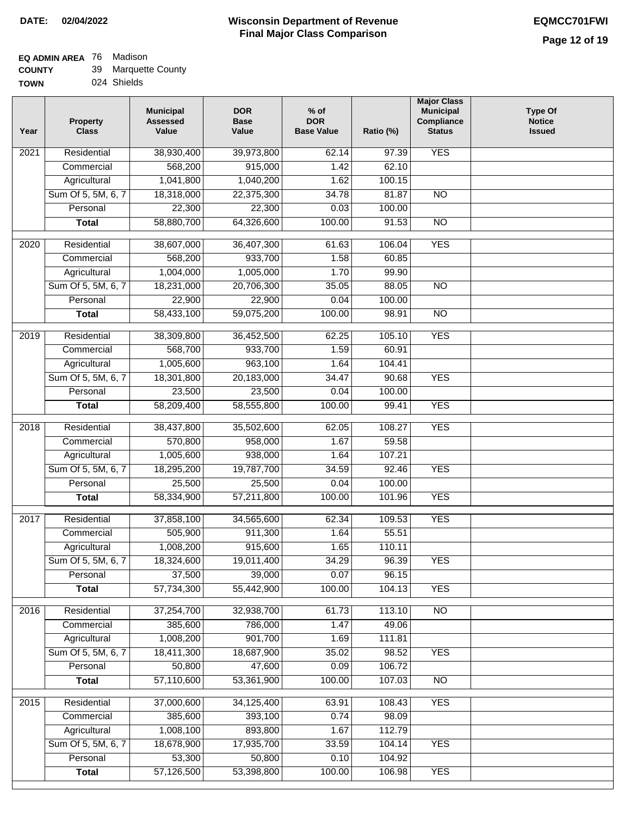### **EQ ADMIN AREA** 76 Madison

| <b>COUNTY</b> | 39 Marquette County |
|---------------|---------------------|
|---------------|---------------------|

**TOWN** 024 Shields

| Year | <b>Property</b><br><b>Class</b> | <b>Municipal</b><br><b>Assessed</b><br>Value | <b>DOR</b><br><b>Base</b><br>Value | $%$ of<br><b>DOR</b><br><b>Base Value</b> | Ratio (%)        | <b>Major Class</b><br><b>Municipal</b><br>Compliance<br><b>Status</b> | <b>Type Of</b><br><b>Notice</b><br><b>Issued</b> |
|------|---------------------------------|----------------------------------------------|------------------------------------|-------------------------------------------|------------------|-----------------------------------------------------------------------|--------------------------------------------------|
| 2021 | Residential                     | 38,930,400                                   | 39,973,800                         | 62.14                                     | 97.39            | <b>YES</b>                                                            |                                                  |
|      | Commercial                      | 568,200                                      | 915,000                            | 1.42                                      | 62.10            |                                                                       |                                                  |
|      | Agricultural                    | 1,041,800                                    | 1,040,200                          | 1.62                                      | 100.15           |                                                                       |                                                  |
|      | Sum Of 5, 5M, 6, 7              | 18,318,000                                   | 22,375,300                         | 34.78                                     | 81.87            | N <sub>O</sub>                                                        |                                                  |
|      | Personal                        | 22,300                                       | 22,300                             | 0.03                                      | 100.00           |                                                                       |                                                  |
|      | <b>Total</b>                    | 58,880,700                                   | 64,326,600                         | 100.00                                    | 91.53            | $\overline{NO}$                                                       |                                                  |
| 2020 | Residential                     | 38,607,000                                   | 36,407,300                         | 61.63                                     | 106.04           | <b>YES</b>                                                            |                                                  |
|      | Commercial                      | 568,200                                      | 933,700                            | 1.58                                      | 60.85            |                                                                       |                                                  |
|      | Agricultural                    | 1,004,000                                    | 1,005,000                          | 1.70                                      | 99.90            |                                                                       |                                                  |
|      | Sum Of 5, 5M, 6, 7              | 18,231,000                                   | 20,706,300                         | 35.05                                     | 88.05            | <b>NO</b>                                                             |                                                  |
|      | Personal                        | 22,900                                       | 22,900                             | 0.04                                      | 100.00           |                                                                       |                                                  |
|      | <b>Total</b>                    | 58,433,100                                   | 59,075,200                         | 100.00                                    | 98.91            | $\overline{NO}$                                                       |                                                  |
| 2019 | Residential                     | 38,309,800                                   | 36,452,500                         | 62.25                                     | 105.10           | <b>YES</b>                                                            |                                                  |
|      | Commercial                      | 568,700                                      | 933,700                            | 1.59                                      | 60.91            |                                                                       |                                                  |
|      | Agricultural                    | 1,005,600                                    | 963,100                            | 1.64                                      | 104.41           |                                                                       |                                                  |
|      | Sum Of 5, 5M, 6, 7              | 18,301,800                                   | 20,183,000                         | 34.47                                     | 90.68            | <b>YES</b>                                                            |                                                  |
|      | Personal                        | 23,500                                       | 23,500                             | 0.04                                      | 100.00           |                                                                       |                                                  |
|      | <b>Total</b>                    | 58,209,400                                   | 58,555,800                         | 100.00                                    | 99.41            | <b>YES</b>                                                            |                                                  |
|      | Residential                     | 38,437,800                                   |                                    | 62.05                                     | 108.27           | <b>YES</b>                                                            |                                                  |
| 2018 | Commercial                      | 570,800                                      | 35,502,600<br>958,000              | 1.67                                      | 59.58            |                                                                       |                                                  |
|      | Agricultural                    | 1,005,600                                    | 938,000                            | 1.64                                      | 107.21           |                                                                       |                                                  |
|      | Sum Of 5, 5M, 6, 7              | 18,295,200                                   | 19,787,700                         | 34.59                                     | 92.46            | <b>YES</b>                                                            |                                                  |
|      | Personal                        | 25,500                                       | 25,500                             | 0.04                                      | 100.00           |                                                                       |                                                  |
|      | <b>Total</b>                    | 58,334,900                                   | 57,211,800                         | 100.00                                    | 101.96           | <b>YES</b>                                                            |                                                  |
|      |                                 |                                              |                                    |                                           |                  |                                                                       |                                                  |
| 2017 | Residential<br>Commercial       | 37,858,100<br>505,900                        | 34,565,600<br>911,300              | 62.34<br>1.64                             | 109.53<br>55.51  | <b>YES</b>                                                            |                                                  |
|      | Agricultural                    | 1,008,200                                    | 915,600                            | 1.65                                      | 110.11           |                                                                       |                                                  |
|      | Sum Of 5, 5M, 6, 7              | 18,324,600                                   | 19,011,400                         | 34.29                                     | 96.39            | <b>YES</b>                                                            |                                                  |
|      | Personal                        | 37,500                                       | 39,000                             | 0.07                                      | 96.15            |                                                                       |                                                  |
|      | <b>Total</b>                    | 57,734,300                                   | 55,442,900                         | 100.00                                    | 104.13           | <b>YES</b>                                                            |                                                  |
|      |                                 |                                              |                                    |                                           |                  |                                                                       |                                                  |
| 2016 | Residential                     | 37,254,700                                   | 32,938,700                         | 61.73                                     | 113.10           | $\overline{NO}$                                                       |                                                  |
|      | Commercial                      | 385,600                                      | 786,000                            | 1.47                                      | 49.06            |                                                                       |                                                  |
|      | Agricultural                    | 1,008,200                                    | 901,700                            | 1.69                                      | 111.81           |                                                                       |                                                  |
|      | Sum Of 5, 5M, 6, 7<br>Personal  | 18,411,300<br>50,800                         | 18,687,900                         | 35.02                                     | 98.52            | <b>YES</b>                                                            |                                                  |
|      | <b>Total</b>                    | 57,110,600                                   | 47,600<br>53,361,900               | 0.09<br>100.00                            | 106.72<br>107.03 | N <sub>O</sub>                                                        |                                                  |
|      |                                 |                                              |                                    |                                           |                  |                                                                       |                                                  |
| 2015 | Residential                     | 37,000,600                                   | 34,125,400                         | 63.91                                     | 108.43           | <b>YES</b>                                                            |                                                  |
|      | Commercial                      | 385,600                                      | 393,100                            | 0.74                                      | 98.09            |                                                                       |                                                  |
|      | Agricultural                    | 1,008,100                                    | 893,800                            | 1.67                                      | 112.79           |                                                                       |                                                  |
|      | Sum Of 5, 5M, 6, 7              | 18,678,900                                   | 17,935,700                         | 33.59                                     | 104.14           | <b>YES</b>                                                            |                                                  |
|      | Personal                        | 53,300                                       | 50,800                             | 0.10                                      | 104.92           |                                                                       |                                                  |
|      | <b>Total</b>                    | 57,126,500                                   | 53,398,800                         | 100.00                                    | 106.98           | <b>YES</b>                                                            |                                                  |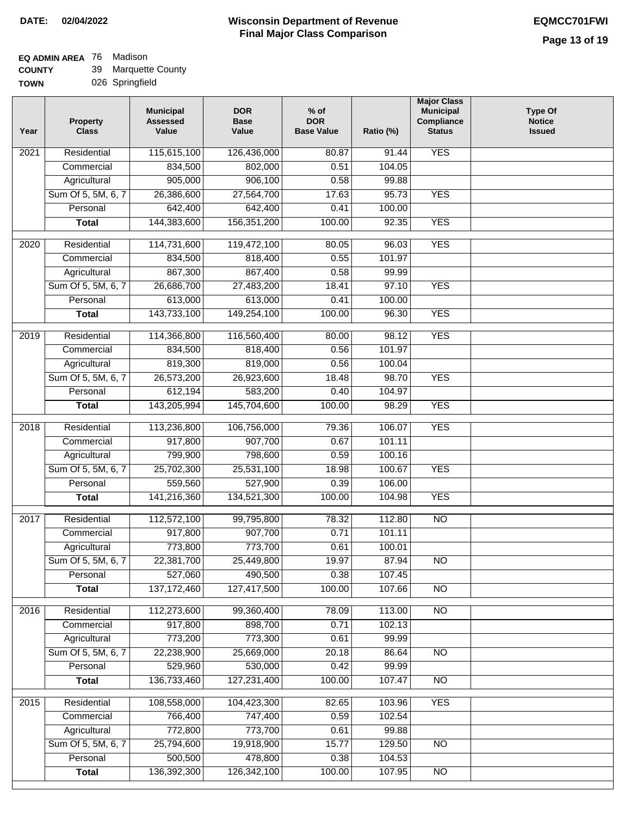# **EQ ADMIN AREA** 76 Madison

**COUNTY TOWN** 39 Marquette County

026 Springfield

| Year              | <b>Property</b><br><b>Class</b> | <b>Municipal</b><br><b>Assessed</b><br>Value | <b>DOR</b><br><b>Base</b><br>Value | $%$ of<br><b>DOR</b><br><b>Base Value</b> | Ratio (%)        | <b>Major Class</b><br><b>Municipal</b><br>Compliance<br><b>Status</b> | <b>Type Of</b><br><b>Notice</b><br><b>Issued</b> |
|-------------------|---------------------------------|----------------------------------------------|------------------------------------|-------------------------------------------|------------------|-----------------------------------------------------------------------|--------------------------------------------------|
| $\overline{202}1$ | Residential                     | 115,615,100                                  | 126,436,000                        | 80.87                                     | 91.44            | <b>YES</b>                                                            |                                                  |
|                   | Commercial                      | 834,500                                      | 802,000                            | 0.51                                      | 104.05           |                                                                       |                                                  |
|                   | Agricultural                    | 905,000                                      | 906,100                            | 0.58                                      | 99.88            |                                                                       |                                                  |
|                   | Sum Of 5, 5M, 6, 7              | 26,386,600                                   | 27,564,700                         | 17.63                                     | 95.73            | <b>YES</b>                                                            |                                                  |
|                   | Personal                        | 642,400                                      | 642,400                            | 0.41                                      | 100.00           |                                                                       |                                                  |
|                   | <b>Total</b>                    | 144,383,600                                  | 156, 351, 200                      | 100.00                                    | 92.35            | <b>YES</b>                                                            |                                                  |
| $\overline{2020}$ | Residential                     | 114,731,600                                  | 119,472,100                        | 80.05                                     | 96.03            | <b>YES</b>                                                            |                                                  |
|                   | Commercial                      | 834,500                                      | 818,400                            | 0.55                                      | 101.97           |                                                                       |                                                  |
|                   | Agricultural                    | 867,300                                      | 867,400                            | 0.58                                      | 99.99            |                                                                       |                                                  |
|                   | Sum Of 5, 5M, 6, 7              | 26,686,700                                   | 27,483,200                         | 18.41                                     | 97.10            | <b>YES</b>                                                            |                                                  |
|                   | Personal                        | 613,000                                      | 613,000                            | 0.41                                      | 100.00           |                                                                       |                                                  |
|                   | <b>Total</b>                    | 143,733,100                                  | 149,254,100                        | 100.00                                    | 96.30            | <b>YES</b>                                                            |                                                  |
| 2019              | Residential                     | 114,366,800                                  | 116,560,400                        | 80.00                                     | 98.12            | <b>YES</b>                                                            |                                                  |
|                   | Commercial                      | 834,500                                      | 818,400                            | 0.56                                      | 101.97           |                                                                       |                                                  |
|                   | Agricultural                    | 819,300                                      | 819,000                            | 0.56                                      | 100.04           |                                                                       |                                                  |
|                   | Sum Of 5, 5M, 6, 7              | 26,573,200                                   | 26,923,600                         | 18.48                                     | 98.70            | <b>YES</b>                                                            |                                                  |
|                   | Personal                        | 612,194                                      | 583,200                            | 0.40                                      | 104.97           |                                                                       |                                                  |
|                   | <b>Total</b>                    | 143,205,994                                  | 145,704,600                        | 100.00                                    | 98.29            | <b>YES</b>                                                            |                                                  |
| 2018              | Residential                     | 113,236,800                                  | 106,756,000                        | 79.36                                     | 106.07           | <b>YES</b>                                                            |                                                  |
|                   | Commercial                      | 917,800                                      | 907,700                            | 0.67                                      | 101.11           |                                                                       |                                                  |
|                   | Agricultural                    | 799,900                                      | 798,600                            | 0.59                                      | 100.16           |                                                                       |                                                  |
|                   | Sum Of 5, 5M, 6, 7              | 25,702,300                                   | 25,531,100                         | 18.98                                     | 100.67           | <b>YES</b>                                                            |                                                  |
|                   | Personal                        | 559,560                                      | 527,900                            | 0.39                                      | 106.00           |                                                                       |                                                  |
|                   | <b>Total</b>                    | 141,216,360                                  | 134,521,300                        | 100.00                                    | 104.98           | <b>YES</b>                                                            |                                                  |
| 2017              | Residential                     | 112,572,100                                  | 99,795,800                         | 78.32                                     | 112.80           | <b>NO</b>                                                             |                                                  |
|                   | Commercial                      | 917,800                                      | 907,700                            | 0.71                                      | 101.11           |                                                                       |                                                  |
|                   | Agricultural                    | 773,800                                      | 773,700                            | 0.61                                      | 100.01           |                                                                       |                                                  |
|                   | Sum Of 5, 5M, 6, 7              | 22,381,700                                   | 25,449,800                         | 19.97                                     | 87.94            | <b>NO</b>                                                             |                                                  |
|                   | Personal                        | 527,060                                      | 490,500                            | 0.38                                      | 107.45           |                                                                       |                                                  |
|                   | <b>Total</b>                    | 137, 172, 460                                | 127,417,500                        | 100.00                                    | 107.66           | <b>NO</b>                                                             |                                                  |
| 2016              | Residential                     | 112,273,600                                  | 99,360,400                         | 78.09                                     | 113.00           | $\overline{NO}$                                                       |                                                  |
|                   | Commercial                      | 917,800                                      | 898,700                            | 0.71                                      | 102.13           |                                                                       |                                                  |
|                   | Agricultural                    | 773,200                                      | 773,300                            | 0.61                                      | 99.99            |                                                                       |                                                  |
|                   | Sum Of 5, 5M, 6, 7              | 22,238,900                                   | 25,669,000                         | 20.18                                     | 86.64            | $\overline{NO}$                                                       |                                                  |
|                   | Personal                        | 529,960                                      | 530,000                            | 0.42                                      | 99.99            |                                                                       |                                                  |
|                   | <b>Total</b>                    | 136,733,460                                  | 127,231,400                        | 100.00                                    | 107.47           | $\overline{NO}$                                                       |                                                  |
|                   |                                 |                                              |                                    |                                           |                  |                                                                       |                                                  |
| 2015              | Residential                     | 108,558,000                                  | 104,423,300                        | 82.65                                     | 103.96           | <b>YES</b>                                                            |                                                  |
|                   | Commercial                      | 766,400                                      | 747,400                            | 0.59                                      | 102.54           |                                                                       |                                                  |
|                   | Agricultural                    | 772,800                                      | 773,700                            | 0.61                                      | 99.88            |                                                                       |                                                  |
|                   | Sum Of 5, 5M, 6, 7              | 25,794,600                                   | 19,918,900                         | 15.77                                     | 129.50           | <b>NO</b>                                                             |                                                  |
|                   | Personal<br><b>Total</b>        | 500,500<br>136,392,300                       | 478,800<br>126,342,100             | 0.38<br>100.00                            | 104.53<br>107.95 | NO                                                                    |                                                  |
|                   |                                 |                                              |                                    |                                           |                  |                                                                       |                                                  |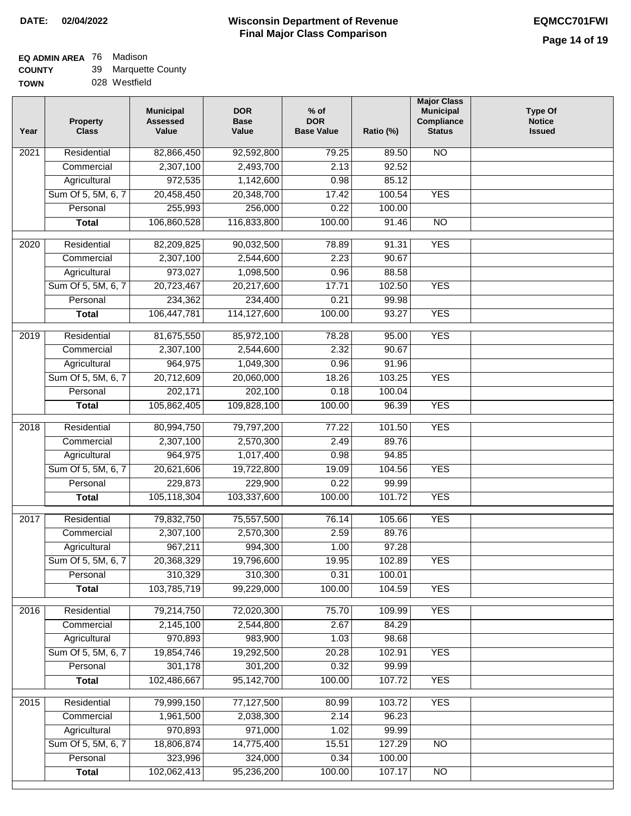### **Wisconsin Department of Revenue DATE: 02/04/2022 EQMCC701FWI Final Major Class Comparison**

## **EQ ADMIN AREA** 76 Madison

Sum Of 5, 5M, 6, 7 **Personal Total**

 18,806,874 323,996 102,062,413

 14,775,400 324,000 95,236,200

 15.51 0.34 100.00  127.29 100.00 107.17 NO

NO

| <b>COUNTY</b> | 39 Marquette County |
|---------------|---------------------|
| <b>TOWN</b>   | 028 Westfield       |

| Year | <b>Property</b><br><b>Class</b> | <b>Municipal</b><br><b>Assessed</b><br>Value | <b>DOR</b><br><b>Base</b><br>Value | $%$ of<br><b>DOR</b><br><b>Base Value</b> | Ratio (%) | <b>Major Class</b><br><b>Municipal</b><br>Compliance<br><b>Status</b> | <b>Type Of</b><br><b>Notice</b><br><b>Issued</b> |
|------|---------------------------------|----------------------------------------------|------------------------------------|-------------------------------------------|-----------|-----------------------------------------------------------------------|--------------------------------------------------|
| 2021 | Residential                     | 82,866,450                                   | 92,592,800                         | 79.25                                     | 89.50     | $\overline{NO}$                                                       |                                                  |
|      | Commercial                      | 2,307,100                                    | 2,493,700                          | 2.13                                      | 92.52     |                                                                       |                                                  |
|      | Agricultural                    | 972,535                                      | 1,142,600                          | 0.98                                      | 85.12     |                                                                       |                                                  |
|      | Sum Of 5, 5M, 6, 7              | 20,458,450                                   | 20,348,700                         | 17.42                                     | 100.54    | <b>YES</b>                                                            |                                                  |
|      | Personal                        | 255,993                                      | 256,000                            | 0.22                                      | 100.00    |                                                                       |                                                  |
|      | <b>Total</b>                    | 106,860,528                                  | 116,833,800                        | 100.00                                    | 91.46     | $\overline{NO}$                                                       |                                                  |
| 2020 | Residential                     | 82,209,825                                   | 90,032,500                         | 78.89                                     | 91.31     | <b>YES</b>                                                            |                                                  |
|      | Commercial                      | 2,307,100                                    | 2,544,600                          | 2.23                                      | 90.67     |                                                                       |                                                  |
|      | Agricultural                    | 973,027                                      | 1,098,500                          | 0.96                                      | 88.58     |                                                                       |                                                  |
|      | Sum Of 5, 5M, 6, 7              | 20,723,467                                   | 20,217,600                         | 17.71                                     | 102.50    | <b>YES</b>                                                            |                                                  |
|      | Personal                        | 234,362                                      | 234,400                            | 0.21                                      | 99.98     |                                                                       |                                                  |
|      | <b>Total</b>                    | 106,447,781                                  | 114,127,600                        | 100.00                                    | 93.27     | <b>YES</b>                                                            |                                                  |
| 2019 | Residential                     | 81,675,550                                   | 85,972,100                         | 78.28                                     | 95.00     | <b>YES</b>                                                            |                                                  |
|      | Commercial                      | 2,307,100                                    | 2,544,600                          | 2.32                                      | 90.67     |                                                                       |                                                  |
|      | Agricultural                    | 964,975                                      | 1,049,300                          | 0.96                                      | 91.96     |                                                                       |                                                  |
|      | Sum Of 5, 5M, 6, 7              | 20,712,609                                   | 20,060,000                         | 18.26                                     | 103.25    | <b>YES</b>                                                            |                                                  |
|      | Personal                        | 202,171                                      | 202,100                            | 0.18                                      | 100.04    |                                                                       |                                                  |
|      | <b>Total</b>                    | 105,862,405                                  | 109,828,100                        | 100.00                                    | 96.39     | <b>YES</b>                                                            |                                                  |
| 2018 | Residential                     | 80,994,750                                   | 79,797,200                         | 77.22                                     | 101.50    | <b>YES</b>                                                            |                                                  |
|      | Commercial                      | 2,307,100                                    | 2,570,300                          | 2.49                                      | 89.76     |                                                                       |                                                  |
|      | Agricultural                    | 964,975                                      | 1,017,400                          | 0.98                                      | 94.85     |                                                                       |                                                  |
|      | Sum Of 5, 5M, 6, 7              | 20,621,606                                   | 19,722,800                         | 19.09                                     | 104.56    | <b>YES</b>                                                            |                                                  |
|      | Personal                        | 229,873                                      | 229,900                            | 0.22                                      | 99.99     |                                                                       |                                                  |
|      | <b>Total</b>                    | 105,118,304                                  | 103,337,600                        | 100.00                                    | 101.72    | <b>YES</b>                                                            |                                                  |
| 2017 | Residential                     | 79,832,750                                   | 75,557,500                         | 76.14                                     | 105.66    | <b>YES</b>                                                            |                                                  |
|      | Commercial                      | 2,307,100                                    | 2,570,300                          | 2.59                                      | 89.76     |                                                                       |                                                  |
|      | Agricultural                    | 967,211                                      | 994,300                            | 1.00                                      | 97.28     |                                                                       |                                                  |
|      | Sum Of 5, 5M, 6, 7              | 20,368,329                                   | 19,796,600                         | 19.95                                     | 102.89    | YES                                                                   |                                                  |
|      | Personal                        | 310,329                                      | 310,300                            | 0.31                                      | 100.01    |                                                                       |                                                  |
|      | <b>Total</b>                    | 103,785,719                                  | 99,229,000                         | 100.00                                    | 104.59    | <b>YES</b>                                                            |                                                  |
| 2016 | Residential                     | 79,214,750                                   | 72,020,300                         | 75.70                                     | 109.99    | <b>YES</b>                                                            |                                                  |
|      | Commercial                      | 2,145,100                                    | 2,544,800                          | 2.67                                      | 84.29     |                                                                       |                                                  |
|      | Agricultural                    | 970,893                                      | 983,900                            | 1.03                                      | 98.68     |                                                                       |                                                  |
|      | Sum Of 5, 5M, 6, 7              | 19,854,746                                   | 19,292,500                         | 20.28                                     | 102.91    | <b>YES</b>                                                            |                                                  |
|      | Personal                        | 301,178                                      | 301,200                            | 0.32                                      | 99.99     |                                                                       |                                                  |
|      | <b>Total</b>                    | 102,486,667                                  | 95,142,700                         | 100.00                                    | 107.72    | <b>YES</b>                                                            |                                                  |
| 2015 | Residential                     | 79,999,150                                   | 77,127,500                         | 80.99                                     | 103.72    | <b>YES</b>                                                            |                                                  |
|      | Commercial                      | 1,961,500                                    | 2,038,300                          | 2.14                                      | 96.23     |                                                                       |                                                  |
|      | Agricultural                    | 970,893                                      | 971,000                            | 1.02                                      | 99.99     |                                                                       |                                                  |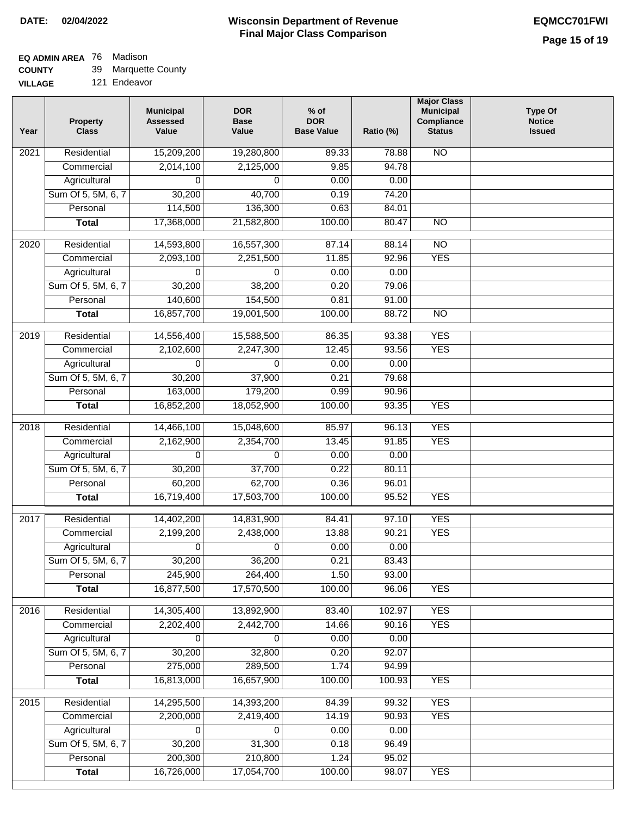# **EQ ADMIN AREA** 76 Madison

**COUNTY** 39 Marquette County

**VILLAGE** 121 Endeavor

| Year              | <b>Property</b><br><b>Class</b> | <b>Municipal</b><br><b>Assessed</b><br>Value | <b>DOR</b><br><b>Base</b><br>Value | $%$ of<br><b>DOR</b><br><b>Base Value</b> | Ratio (%) | <b>Major Class</b><br><b>Municipal</b><br>Compliance<br><b>Status</b> | Type Of<br><b>Notice</b><br><b>Issued</b> |
|-------------------|---------------------------------|----------------------------------------------|------------------------------------|-------------------------------------------|-----------|-----------------------------------------------------------------------|-------------------------------------------|
| $\overline{202}1$ | Residential                     | 15,209,200                                   | 19,280,800                         | 89.33                                     | 78.88     | $\overline{NO}$                                                       |                                           |
|                   | Commercial                      | 2,014,100                                    | 2,125,000                          | 9.85                                      | 94.78     |                                                                       |                                           |
|                   | Agricultural                    | 0                                            | 0                                  | 0.00                                      | 0.00      |                                                                       |                                           |
|                   | Sum Of 5, 5M, 6, 7              | 30,200                                       | 40,700                             | 0.19                                      | 74.20     |                                                                       |                                           |
|                   | Personal                        | 114,500                                      | 136,300                            | 0.63                                      | 84.01     |                                                                       |                                           |
|                   | <b>Total</b>                    | 17,368,000                                   | 21,582,800                         | 100.00                                    | 80.47     | $\overline{NO}$                                                       |                                           |
| $\overline{2020}$ | Residential                     |                                              |                                    | 87.14                                     | 88.14     | $\overline{NO}$                                                       |                                           |
|                   | Commercial                      | 14,593,800<br>2,093,100                      | 16,557,300<br>2,251,500            | 11.85                                     | 92.96     | <b>YES</b>                                                            |                                           |
|                   | Agricultural                    | 0                                            | 0                                  | 0.00                                      | 0.00      |                                                                       |                                           |
|                   | Sum Of 5, 5M, 6, 7              | 30,200                                       | 38,200                             | 0.20                                      | 79.06     |                                                                       |                                           |
|                   | Personal                        | 140,600                                      | 154,500                            | 0.81                                      | 91.00     |                                                                       |                                           |
|                   | <b>Total</b>                    | 16,857,700                                   | 19,001,500                         | 100.00                                    | 88.72     | $\overline{NO}$                                                       |                                           |
|                   |                                 |                                              |                                    |                                           |           |                                                                       |                                           |
| 2019              | Residential                     | 14,556,400                                   | 15,588,500                         | 86.35                                     | 93.38     | <b>YES</b>                                                            |                                           |
|                   | Commercial                      | 2,102,600                                    | 2,247,300                          | 12.45                                     | 93.56     | <b>YES</b>                                                            |                                           |
|                   | Agricultural                    | 0                                            | 0                                  | 0.00                                      | 0.00      |                                                                       |                                           |
|                   | Sum Of 5, 5M, 6, 7              | 30,200                                       | 37,900                             | 0.21                                      | 79.68     |                                                                       |                                           |
|                   | Personal                        | 163,000                                      | 179,200                            | 0.99                                      | 90.96     |                                                                       |                                           |
|                   | <b>Total</b>                    | 16,852,200                                   | 18,052,900                         | 100.00                                    | 93.35     | <b>YES</b>                                                            |                                           |
| 2018              | Residential                     | 14,466,100                                   | 15,048,600                         | 85.97                                     | 96.13     | <b>YES</b>                                                            |                                           |
|                   | Commercial                      | 2,162,900                                    | 2,354,700                          | 13.45                                     | 91.85     | <b>YES</b>                                                            |                                           |
|                   | Agricultural                    | 0                                            | 0                                  | 0.00                                      | 0.00      |                                                                       |                                           |
|                   | Sum Of 5, 5M, 6, 7              | 30,200                                       | 37,700                             | 0.22                                      | 80.11     |                                                                       |                                           |
|                   | Personal                        | 60,200                                       | 62,700                             | 0.36                                      | 96.01     |                                                                       |                                           |
|                   | <b>Total</b>                    | 16,719,400                                   | 17,503,700                         | 100.00                                    | 95.52     | <b>YES</b>                                                            |                                           |
|                   |                                 |                                              |                                    |                                           |           |                                                                       |                                           |
| 2017              | Residential                     | 14,402,200                                   | 14,831,900                         | 84.41                                     | 97.10     | <b>YES</b>                                                            |                                           |
|                   | Commercial                      | 2,199,200                                    | 2,438,000                          | 13.88                                     | 90.21     | <b>YES</b>                                                            |                                           |
|                   | Agricultural                    | 0                                            | $\mathbf 0$                        | 0.00                                      | 0.00      |                                                                       |                                           |
|                   | Sum Of 5, 5M, 6, 7              | 30,200                                       | 36,200                             | 0.21                                      | 83.43     |                                                                       |                                           |
|                   | Personal                        | 245,900                                      | 264,400                            | 1.50                                      | 93.00     |                                                                       |                                           |
|                   | <b>Total</b>                    | 16,877,500                                   | 17,570,500                         | 100.00                                    | 96.06     | <b>YES</b>                                                            |                                           |
| 2016              | Residential                     | 14,305,400                                   | 13,892,900                         | 83.40                                     | 102.97    | <b>YES</b>                                                            |                                           |
|                   | Commercial                      | 2,202,400                                    | 2,442,700                          | 14.66                                     | 90.16     | <b>YES</b>                                                            |                                           |
|                   | Agricultural                    | 0                                            | 0                                  | 0.00                                      | 0.00      |                                                                       |                                           |
|                   | Sum Of 5, 5M, 6, 7              | 30,200                                       | 32,800                             | 0.20                                      | 92.07     |                                                                       |                                           |
|                   | Personal                        | 275,000                                      | 289,500                            | 1.74                                      | 94.99     |                                                                       |                                           |
|                   | <b>Total</b>                    | 16,813,000                                   | 16,657,900                         | 100.00                                    | 100.93    | <b>YES</b>                                                            |                                           |
|                   |                                 |                                              |                                    |                                           |           |                                                                       |                                           |
| 2015              | Residential                     | 14,295,500                                   | 14,393,200                         | 84.39                                     | 99.32     | <b>YES</b>                                                            |                                           |
|                   | Commercial                      | 2,200,000                                    | 2,419,400                          | 14.19                                     | 90.93     | <b>YES</b>                                                            |                                           |
|                   | Agricultural                    | 0                                            | 0                                  | 0.00                                      | 0.00      |                                                                       |                                           |
|                   | Sum Of 5, 5M, 6, 7              | 30,200                                       | 31,300                             | 0.18                                      | 96.49     |                                                                       |                                           |
|                   | Personal                        | 200,300                                      | 210,800                            | 1.24                                      | 95.02     |                                                                       |                                           |
|                   | <b>Total</b>                    | 16,726,000                                   | 17,054,700                         | 100.00                                    | 98.07     | <b>YES</b>                                                            |                                           |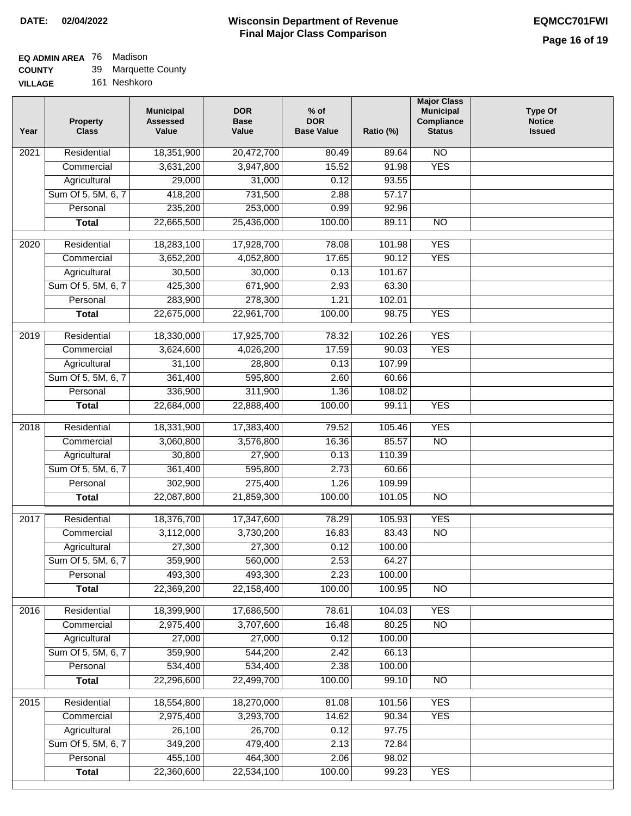#### **EQ ADMIN AREA** Madison

**Total**

22,360,600

22,534,100

100.00

99.23

YES

**COUNTY VILLAGE** 39 Marquette County

161 Neshkoro

| Year | <b>Property</b><br><b>Class</b> | <b>Municipal</b><br><b>Assessed</b><br>Value | <b>DOR</b><br>Base<br>Value | $%$ of<br><b>DOR</b><br><b>Base Value</b> | Ratio (%) | <b>Major Class</b><br><b>Municipal</b><br>Compliance<br><b>Status</b> | <b>Type Of</b><br><b>Notice</b><br><b>Issued</b> |
|------|---------------------------------|----------------------------------------------|-----------------------------|-------------------------------------------|-----------|-----------------------------------------------------------------------|--------------------------------------------------|
| 2021 | Residential                     | 18,351,900                                   | 20,472,700                  | 80.49                                     | 89.64     | $\overline{NO}$                                                       |                                                  |
|      | Commercial                      | 3,631,200                                    | 3,947,800                   | 15.52                                     | 91.98     | <b>YES</b>                                                            |                                                  |
|      | Agricultural                    | 29,000                                       | 31,000                      | 0.12                                      | 93.55     |                                                                       |                                                  |
|      | Sum Of 5, 5M, 6, 7              | 418,200                                      | 731,500                     | 2.88                                      | 57.17     |                                                                       |                                                  |
|      | Personal                        | 235,200                                      | 253,000                     | 0.99                                      | 92.96     |                                                                       |                                                  |
|      | <b>Total</b>                    | 22,665,500                                   | 25,436,000                  | 100.00                                    | 89.11     | $\overline{NO}$                                                       |                                                  |
| 2020 | Residential                     | 18,283,100                                   | 17,928,700                  | 78.08                                     | 101.98    | <b>YES</b>                                                            |                                                  |
|      | Commercial                      | 3,652,200                                    | 4,052,800                   | 17.65                                     | 90.12     | <b>YES</b>                                                            |                                                  |
|      | Agricultural                    | 30,500                                       | 30,000                      | 0.13                                      | 101.67    |                                                                       |                                                  |
|      | Sum Of 5, 5M, 6, 7              | 425,300                                      | 671,900                     | 2.93                                      | 63.30     |                                                                       |                                                  |
|      | Personal                        | 283,900                                      | 278,300                     | 1.21                                      | 102.01    |                                                                       |                                                  |
|      | <b>Total</b>                    | 22,675,000                                   | 22,961,700                  | 100.00                                    | 98.75     | <b>YES</b>                                                            |                                                  |
| 2019 | Residential                     | 18,330,000                                   | 17,925,700                  | 78.32                                     | 102.26    | <b>YES</b>                                                            |                                                  |
|      | Commercial                      | 3,624,600                                    | 4,026,200                   | 17.59                                     | 90.03     | <b>YES</b>                                                            |                                                  |
|      | Agricultural                    | 31,100                                       | 28,800                      | 0.13                                      | 107.99    |                                                                       |                                                  |
|      | Sum Of 5, 5M, 6, 7              | 361,400                                      | 595,800                     | 2.60                                      | 60.66     |                                                                       |                                                  |
|      | Personal                        | 336,900                                      | 311,900                     | 1.36                                      | 108.02    |                                                                       |                                                  |
|      | <b>Total</b>                    | 22,684,000                                   | 22,888,400                  | 100.00                                    | 99.11     | <b>YES</b>                                                            |                                                  |
| 2018 | Residential                     | 18,331,900                                   | 17,383,400                  | 79.52                                     | 105.46    | <b>YES</b>                                                            |                                                  |
|      | Commercial                      | 3,060,800                                    | 3,576,800                   | 16.36                                     | 85.57     | N <sub>O</sub>                                                        |                                                  |
|      | Agricultural                    | 30,800                                       | 27,900                      | 0.13                                      | 110.39    |                                                                       |                                                  |
|      | Sum Of 5, 5M, 6, 7              | 361,400                                      | 595,800                     | 2.73                                      | 60.66     |                                                                       |                                                  |
|      | Personal                        | 302,900                                      | 275,400                     | 1.26                                      | 109.99    |                                                                       |                                                  |
|      | <b>Total</b>                    | 22,087,800                                   | 21,859,300                  | 100.00                                    | 101.05    | $\overline{10}$                                                       |                                                  |
|      |                                 |                                              |                             |                                           |           |                                                                       |                                                  |
| 2017 | Residential                     | 18,376,700                                   | 17,347,600                  | 78.29                                     | 105.93    | <b>YES</b>                                                            |                                                  |
|      | Commercial                      | 3,112,000                                    | 3,730,200                   | 16.83                                     | 83.43     | $\overline{NO}$                                                       |                                                  |
|      | Agricultural                    | 27,300                                       | 27,300                      | 0.12                                      | 100.00    |                                                                       |                                                  |
|      | Sum Of 5, 5M, 6, 7              | 359,900                                      | 560,000                     | 2.53                                      | 64.27     |                                                                       |                                                  |
|      | Personal                        | 493,300                                      | 493,300                     | 2.23                                      | 100.00    |                                                                       |                                                  |
|      | <b>Total</b>                    | 22,369,200                                   | 22,158,400                  | 100.00                                    | 100.95    | <b>NO</b>                                                             |                                                  |
| 2016 | Residential                     | 18,399,900                                   | 17,686,500                  | 78.61                                     | 104.03    | <b>YES</b>                                                            |                                                  |
|      | Commercial                      | 2,975,400                                    | 3,707,600                   | 16.48                                     | 80.25     | $\overline{NO}$                                                       |                                                  |
|      | Agricultural                    | 27,000                                       | 27,000                      | 0.12                                      | 100.00    |                                                                       |                                                  |
|      | Sum Of 5, 5M, 6, 7              | 359,900                                      | 544,200                     | 2.42                                      | 66.13     |                                                                       |                                                  |
|      | Personal                        | 534,400                                      | 534,400                     | 2.38                                      | 100.00    |                                                                       |                                                  |
|      | <b>Total</b>                    | 22,296,600                                   | 22,499,700                  | 100.00                                    | 99.10     | $\overline{NO}$                                                       |                                                  |
| 2015 | Residential                     | 18,554,800                                   | 18,270,000                  | 81.08                                     | 101.56    | <b>YES</b>                                                            |                                                  |
|      | Commercial                      | 2,975,400                                    | 3,293,700                   | 14.62                                     | 90.34     | <b>YES</b>                                                            |                                                  |
|      | Agricultural                    | 26,100                                       | 26,700                      | 0.12                                      | 97.75     |                                                                       |                                                  |
|      | Sum Of 5, 5M, 6, 7              | 349,200                                      | 479,400                     | 2.13                                      | 72.84     |                                                                       |                                                  |
|      | Personal                        | 455,100                                      | 464,300                     | 2.06                                      | 98.02     |                                                                       |                                                  |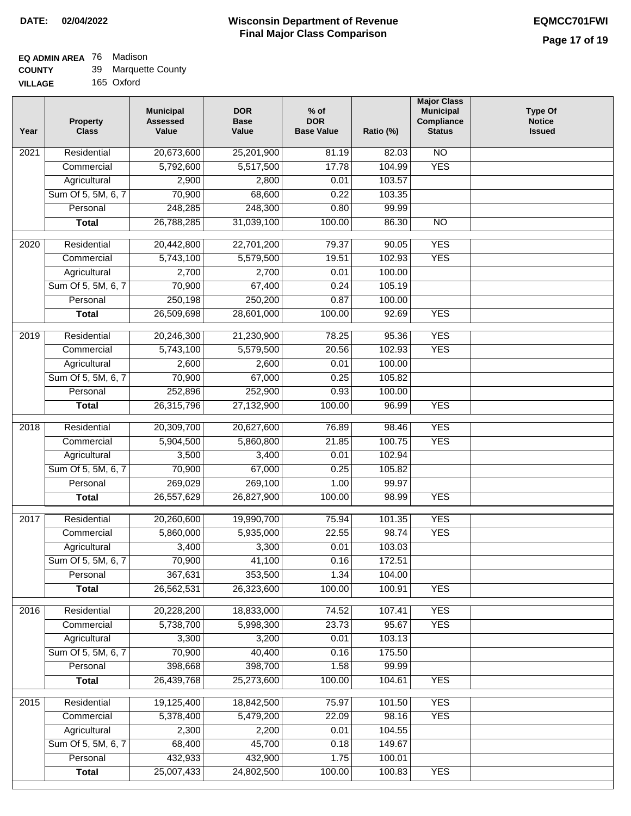#### **Wisconsin Department of Revenue Final Major Class Comparison DATE: 02/04/2022 EQMCC701FWI**

٦

#### **EQ ADMIN AREA** 76 Madison **COUNTY**

| <b>COUNTY</b>  | 39 Marquette County |
|----------------|---------------------|
| <b>VILLAGE</b> | 165 Oxford          |

| Year              | <b>Property</b><br><b>Class</b> | <b>Municipal</b><br><b>Assessed</b><br>Value | <b>DOR</b><br><b>Base</b><br>Value | $%$ of<br><b>DOR</b><br><b>Base Value</b> | Ratio (%) | <b>Major Class</b><br><b>Municipal</b><br>Compliance<br><b>Status</b> | <b>Type Of</b><br><b>Notice</b><br><b>Issued</b> |
|-------------------|---------------------------------|----------------------------------------------|------------------------------------|-------------------------------------------|-----------|-----------------------------------------------------------------------|--------------------------------------------------|
| 2021              | Residential                     | 20,673,600                                   | 25,201,900                         | 81.19                                     | 82.03     | $\overline{NO}$                                                       |                                                  |
|                   | Commercial                      | 5,792,600                                    | 5,517,500                          | 17.78                                     | 104.99    | <b>YES</b>                                                            |                                                  |
|                   | Agricultural                    | 2,900                                        | 2,800                              | 0.01                                      | 103.57    |                                                                       |                                                  |
|                   | Sum Of 5, 5M, 6, 7              | 70,900                                       | 68,600                             | 0.22                                      | 103.35    |                                                                       |                                                  |
|                   | Personal                        | 248,285                                      | 248,300                            | 0.80                                      | 99.99     |                                                                       |                                                  |
|                   | <b>Total</b>                    | 26,788,285                                   | 31,039,100                         | 100.00                                    | 86.30     | $\overline{NO}$                                                       |                                                  |
| $\overline{2020}$ | Residential                     | 20,442,800                                   | 22,701,200                         | 79.37                                     | 90.05     | <b>YES</b>                                                            |                                                  |
|                   | Commercial                      | 5,743,100                                    | 5,579,500                          | 19.51                                     | 102.93    | <b>YES</b>                                                            |                                                  |
|                   | Agricultural                    | 2,700                                        | 2,700                              | 0.01                                      | 100.00    |                                                                       |                                                  |
|                   | Sum Of 5, 5M, 6, 7              | 70,900                                       | 67,400                             | 0.24                                      | 105.19    |                                                                       |                                                  |
|                   | Personal                        | 250,198                                      | 250,200                            | 0.87                                      | 100.00    |                                                                       |                                                  |
|                   | <b>Total</b>                    | 26,509,698                                   | 28,601,000                         | 100.00                                    | 92.69     | <b>YES</b>                                                            |                                                  |
|                   |                                 |                                              |                                    |                                           |           |                                                                       |                                                  |
| $\frac{1}{2019}$  | Residential                     | 20,246,300                                   | 21,230,900                         | 78.25                                     | 95.36     | <b>YES</b>                                                            |                                                  |
|                   | Commercial                      | 5,743,100                                    | 5,579,500                          | 20.56                                     | 102.93    | <b>YES</b>                                                            |                                                  |
|                   | Agricultural                    | 2,600                                        | 2,600                              | 0.01                                      | 100.00    |                                                                       |                                                  |
|                   | Sum Of 5, 5M, 6, 7              | 70,900                                       | 67,000                             | 0.25                                      | 105.82    |                                                                       |                                                  |
|                   | Personal                        | 252,896                                      | 252,900                            | 0.93                                      | 100.00    |                                                                       |                                                  |
|                   | <b>Total</b>                    | 26,315,796                                   | 27,132,900                         | 100.00                                    | 96.99     | <b>YES</b>                                                            |                                                  |
| 2018              | Residential                     | 20,309,700                                   | 20,627,600                         | 76.89                                     | 98.46     | <b>YES</b>                                                            |                                                  |
|                   | Commercial                      | 5,904,500                                    | 5,860,800                          | 21.85                                     | 100.75    | <b>YES</b>                                                            |                                                  |
|                   | Agricultural                    | 3,500                                        | 3,400                              | 0.01                                      | 102.94    |                                                                       |                                                  |
|                   | Sum Of 5, 5M, 6, 7              | 70,900                                       | 67,000                             | 0.25                                      | 105.82    |                                                                       |                                                  |
|                   | Personal                        | 269,029                                      | 269,100                            | 1.00                                      | 99.97     |                                                                       |                                                  |
|                   | <b>Total</b>                    | 26,557,629                                   | 26,827,900                         | 100.00                                    | 98.99     | <b>YES</b>                                                            |                                                  |
| 2017              | Residential                     | 20,260,600                                   | 19,990,700                         | 75.94                                     | 101.35    | <b>YES</b>                                                            |                                                  |
|                   | Commercial                      | 5,860,000                                    | 5,935,000                          | 22.55                                     | 98.74     | <b>YES</b>                                                            |                                                  |
|                   | Agricultural                    | 3,400                                        | 3,300                              | 0.01                                      | 103.03    |                                                                       |                                                  |
|                   | Sum Of 5, 5M, 6, 7              | 70,900                                       | 41,100                             | 0.16                                      | 172.51    |                                                                       |                                                  |
|                   | Personal                        | 367,631                                      | 353,500                            | 1.34                                      | 104.00    |                                                                       |                                                  |
|                   | <b>Total</b>                    | 26,562,531                                   | 26,323,600                         | 100.00                                    | 100.91    | <b>YES</b>                                                            |                                                  |
| 2016              | Residential                     | 20,228,200                                   | 18,833,000                         | 74.52                                     | 107.41    | <b>YES</b>                                                            |                                                  |
|                   | Commercial                      | 5,738,700                                    | 5,998,300                          | 23.73                                     | 95.67     | <b>YES</b>                                                            |                                                  |
|                   | Agricultural                    | 3,300                                        | 3,200                              | 0.01                                      | 103.13    |                                                                       |                                                  |
|                   | Sum Of 5, 5M, 6, 7              | 70,900                                       | 40,400                             | 0.16                                      | 175.50    |                                                                       |                                                  |
|                   | Personal                        | 398,668                                      | 398,700                            | 1.58                                      | 99.99     |                                                                       |                                                  |
|                   |                                 | 26,439,768                                   | 25,273,600                         | 100.00                                    | 104.61    | <b>YES</b>                                                            |                                                  |
|                   | <b>Total</b>                    |                                              |                                    |                                           |           |                                                                       |                                                  |
| 2015              | Residential                     | 19,125,400                                   | 18,842,500                         | 75.97                                     | 101.50    | <b>YES</b>                                                            |                                                  |
|                   | Commercial                      | 5,378,400                                    | 5,479,200                          | 22.09                                     | 98.16     | <b>YES</b>                                                            |                                                  |
|                   | Agricultural                    | 2,300                                        | 2,200                              | 0.01                                      | 104.55    |                                                                       |                                                  |
|                   | Sum Of 5, 5M, 6, 7              | 68,400                                       | 45,700                             | 0.18                                      | 149.67    |                                                                       |                                                  |
|                   | Personal                        | 432,933                                      | 432,900                            | 1.75                                      | 100.01    |                                                                       |                                                  |
|                   | <b>Total</b>                    | 25,007,433                                   | 24,802,500                         | 100.00                                    | 100.83    | <b>YES</b>                                                            |                                                  |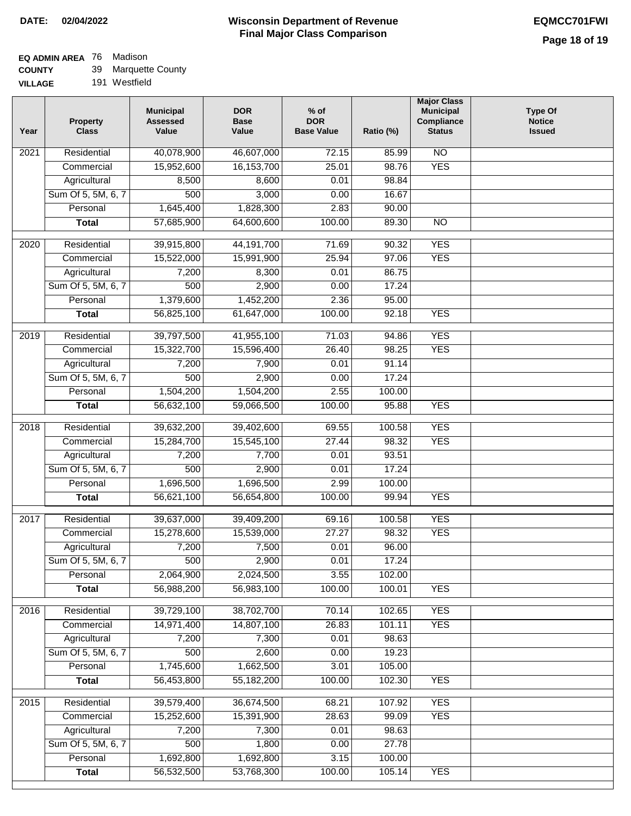## **EQ ADMIN AREA** 76 Madison

| <b>COUNTY</b> | 39 | Marquette County |  |
|---------------|----|------------------|--|
|---------------|----|------------------|--|

| <b>VILLAGE</b> | 191 Westfield |
|----------------|---------------|
|                |               |

| Year              | <b>Property</b><br><b>Class</b> | <b>Municipal</b><br><b>Assessed</b><br>Value | <b>DOR</b><br><b>Base</b><br>Value | $%$ of<br><b>DOR</b><br><b>Base Value</b> | Ratio (%) | <b>Major Class</b><br><b>Municipal</b><br>Compliance<br><b>Status</b> | <b>Type Of</b><br><b>Notice</b><br><b>Issued</b> |
|-------------------|---------------------------------|----------------------------------------------|------------------------------------|-------------------------------------------|-----------|-----------------------------------------------------------------------|--------------------------------------------------|
| $\overline{202}1$ | Residential                     | 40,078,900                                   | 46,607,000                         | 72.15                                     | 85.99     | N <sub>O</sub>                                                        |                                                  |
|                   | Commercial                      | 15,952,600                                   | 16, 153, 700                       | 25.01                                     | 98.76     | <b>YES</b>                                                            |                                                  |
|                   | Agricultural                    | 8,500                                        | 8,600                              | 0.01                                      | 98.84     |                                                                       |                                                  |
|                   | Sum Of 5, 5M, 6, 7              | 500                                          | 3,000                              | 0.00                                      | 16.67     |                                                                       |                                                  |
|                   | Personal                        | 1,645,400                                    | 1,828,300                          | 2.83                                      | 90.00     |                                                                       |                                                  |
|                   | <b>Total</b>                    | 57,685,900                                   | 64,600,600                         | 100.00                                    | 89.30     | $\overline{NO}$                                                       |                                                  |
| $\overline{2020}$ | Residential                     | 39,915,800                                   | 44, 191, 700                       | 71.69                                     | 90.32     | <b>YES</b>                                                            |                                                  |
|                   | Commercial                      | 15,522,000                                   | 15,991,900                         | 25.94                                     | 97.06     | <b>YES</b>                                                            |                                                  |
|                   | Agricultural                    | 7,200                                        | 8,300                              | 0.01                                      | 86.75     |                                                                       |                                                  |
|                   | Sum Of 5, 5M, 6, 7              | 500                                          | 2,900                              | 0.00                                      | 17.24     |                                                                       |                                                  |
|                   | Personal                        | 1,379,600                                    | 1,452,200                          | 2.36                                      | 95.00     |                                                                       |                                                  |
|                   | <b>Total</b>                    | 56,825,100                                   | 61,647,000                         | 100.00                                    | 92.18     | <b>YES</b>                                                            |                                                  |
|                   |                                 |                                              |                                    |                                           |           |                                                                       |                                                  |
| 2019              | Residential                     | 39,797,500                                   | 41,955,100                         | 71.03                                     | 94.86     | <b>YES</b>                                                            |                                                  |
|                   | Commercial                      | 15,322,700                                   | 15,596,400                         | 26.40                                     | 98.25     | <b>YES</b>                                                            |                                                  |
|                   | Agricultural                    | 7,200                                        | 7,900                              | 0.01                                      | 91.14     |                                                                       |                                                  |
|                   | Sum Of 5, 5M, 6, 7              | 500                                          | 2,900                              | 0.00                                      | 17.24     |                                                                       |                                                  |
|                   | Personal                        | 1,504,200                                    | 1,504,200                          | 2.55                                      | 100.00    | <b>YES</b>                                                            |                                                  |
|                   | <b>Total</b>                    | 56,632,100                                   | 59,066,500                         | 100.00                                    | 95.88     |                                                                       |                                                  |
| 2018              | Residential                     | 39,632,200                                   | 39,402,600                         | 69.55                                     | 100.58    | <b>YES</b>                                                            |                                                  |
|                   | Commercial                      | 15,284,700                                   | 15,545,100                         | 27.44                                     | 98.32     | <b>YES</b>                                                            |                                                  |
|                   | Agricultural                    | 7,200                                        | 7,700                              | 0.01                                      | 93.51     |                                                                       |                                                  |
|                   | Sum Of 5, 5M, 6, 7              | 500                                          | 2,900                              | 0.01                                      | 17.24     |                                                                       |                                                  |
|                   | Personal                        | 1,696,500                                    | 1,696,500                          | 2.99                                      | 100.00    |                                                                       |                                                  |
|                   | <b>Total</b>                    | 56,621,100                                   | 56,654,800                         | 100.00                                    | 99.94     | <b>YES</b>                                                            |                                                  |
| 2017              | Residential                     | 39,637,000                                   | 39,409,200                         | 69.16                                     | 100.58    | <b>YES</b>                                                            |                                                  |
|                   | Commercial                      | 15,278,600                                   | 15,539,000                         | 27.27                                     | 98.32     | <b>YES</b>                                                            |                                                  |
|                   | Agricultural                    | 7,200                                        | 7,500                              | 0.01                                      | 96.00     |                                                                       |                                                  |
|                   | Sum Of 5, 5M, 6, 7              | 500                                          | 2,900                              | 0.01                                      | 17.24     |                                                                       |                                                  |
|                   | Personal                        | 2,064,900                                    | 2,024,500                          | 3.55                                      | 102.00    |                                                                       |                                                  |
|                   | <b>Total</b>                    | 56,988,200                                   | 56,983,100                         | 100.00                                    | 100.01    | <b>YES</b>                                                            |                                                  |
| 2016              | Residential                     | 39,729,100                                   | 38,702,700                         | 70.14                                     | 102.65    | <b>YES</b>                                                            |                                                  |
|                   | Commercial                      | 14,971,400                                   | 14,807,100                         | 26.83                                     | 101.11    | <b>YES</b>                                                            |                                                  |
|                   | Agricultural                    | 7,200                                        | 7,300                              | 0.01                                      | 98.63     |                                                                       |                                                  |
|                   | Sum Of 5, 5M, 6, 7              | 500                                          | 2,600                              | 0.00                                      | 19.23     |                                                                       |                                                  |
|                   | Personal                        | 1,745,600                                    | 1,662,500                          | 3.01                                      | 105.00    |                                                                       |                                                  |
|                   | <b>Total</b>                    | 56,453,800                                   | 55,182,200                         | 100.00                                    | 102.30    | <b>YES</b>                                                            |                                                  |
|                   |                                 |                                              |                                    |                                           |           |                                                                       |                                                  |
| 2015              | Residential                     | 39,579,400                                   | 36,674,500                         | 68.21                                     | 107.92    | <b>YES</b>                                                            |                                                  |
|                   | Commercial                      | 15,252,600                                   | 15,391,900                         | 28.63                                     | 99.09     | <b>YES</b>                                                            |                                                  |
|                   | Agricultural                    | 7,200                                        | 7,300                              | 0.01                                      | 98.63     |                                                                       |                                                  |
|                   | Sum Of 5, 5M, 6, 7              | 500                                          | 1,800                              | 0.00                                      | 27.78     |                                                                       |                                                  |
|                   | Personal                        | 1,692,800                                    | 1,692,800                          | 3.15                                      | 100.00    |                                                                       |                                                  |
|                   | <b>Total</b>                    | 56,532,500                                   | 53,768,300                         | 100.00                                    | 105.14    | <b>YES</b>                                                            |                                                  |